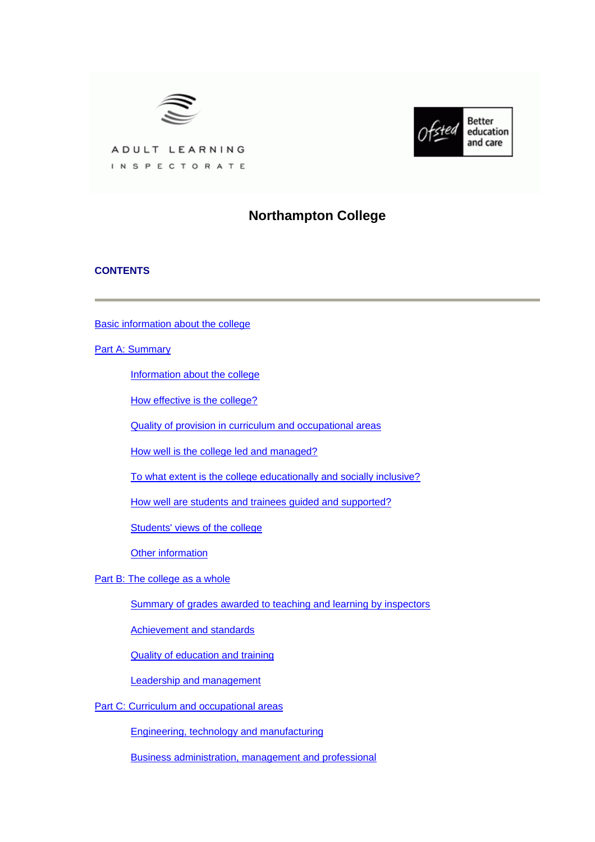



ADULT LEARNING INSPECTORATE

# **Northampton College**

## **CONTENTS**

[Basic information about the college](#page-1-0)

**[Part A: Summary](#page-1-0)** 

[Information about the college](#page-2-0)

[How effective is the college?](#page-2-0)

[Quality of provision in curriculum and occupational areas](#page-4-0)

[How well is the college led and managed?](#page-5-0)

[To what extent is the college educationally and socially inclusive?](#page-5-0)

[How well are students and trainees guided and supported?](#page-5-0)

[Students' views of the college](#page-6-0)

[Other information](#page-7-0)

[Part B: The college as a whole](#page-7-0)

[Summary of grades awarded to teaching and learning by inspectors](#page-7-0)

[Achievement and standards](#page-8-0)

[Quality of education and training](#page-9-0)

[Leadership and management](#page-12-0)

[Part C: Curriculum and occupational areas](#page-14-0)

[Engineering, technology and manufacturing](#page-14-0)

[Business administration, management and professional](#page-17-0)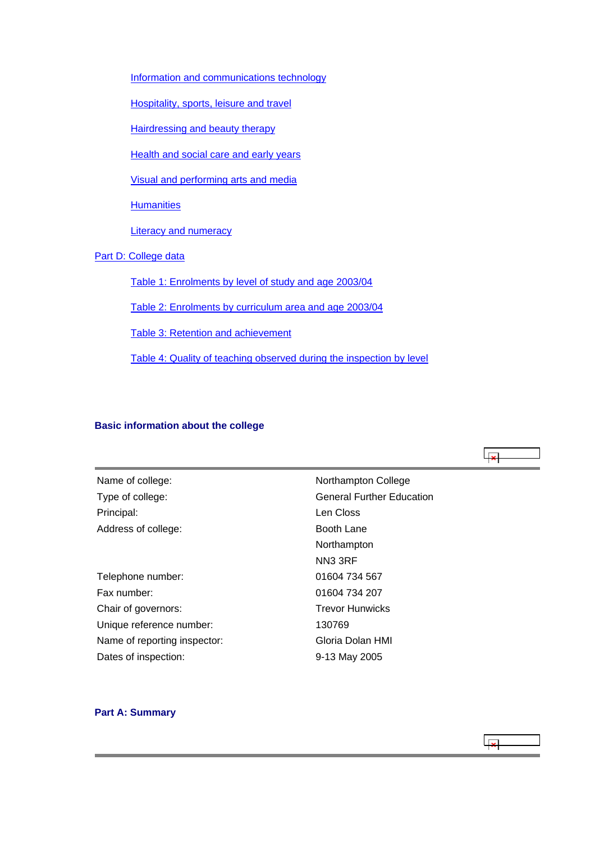<span id="page-1-0"></span>[Information and communications technology](#page-20-0)

[Hospitality, sports, leisure and travel](#page-23-0)

[Hairdressing and beauty therapy](#page-26-0)

[Health and social care and early years](#page-30-0)

[Visual and performing arts and media](#page-33-0)

**[Humanities](#page-36-0)** 

[Literacy and numeracy](#page-38-0)

[Part D: College data](#page-41-0)

[Table 1: Enrolments by level of study and age 2003/04](#page-41-0)

[Table 2: Enrolments by curriculum area and age 2003/04](#page-42-0)

[Table 3: Retention and achievement](#page-42-0)

[Table 4: Quality of teaching observed during the inspection by level](#page-43-0)

## **Basic information about the college**

Name of college: Northampton College Principal: Len Closs Address of college:

Telephone number: 01604 734 567 Fax number: 01604 734 207 Chair of governors: Trevor Hunwicks Unique reference number: 130769 Name of reporting inspector: Gloria Dolan HMI Dates of inspection: 9-13 May 2005

Type of college: Type of college: General Further Education Booth Lane Northampton NN3 3RF

#### **Part A: Summary**



ایجا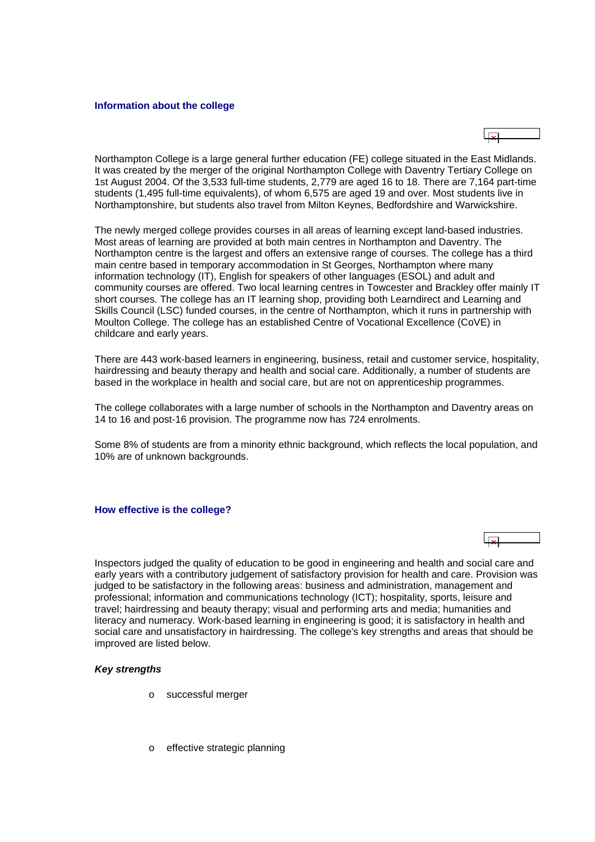#### <span id="page-2-0"></span>**Information about the college**

Northampton College is a large general further education (FE) college situated in the East Midlands. It was created by the merger of the original Northampton College with Daventry Tertiary College on 1st August 2004. Of the 3,533 full-time students, 2,779 are aged 16 to 18. There are 7,164 part-time students (1,495 full-time equivalents), of whom 6,575 are aged 19 and over. Most students live in Northamptonshire, but students also travel from Milton Keynes, Bedfordshire and Warwickshire.

The newly merged college provides courses in all areas of learning except land-based industries. Most areas of learning are provided at both main centres in Northampton and Daventry. The Northampton centre is the largest and offers an extensive range of courses. The college has a third main centre based in temporary accommodation in St Georges, Northampton where many information technology (IT), English for speakers of other languages (ESOL) and adult and community courses are offered. Two local learning centres in Towcester and Brackley offer mainly IT short courses. The college has an IT learning shop, providing both Learndirect and Learning and Skills Council (LSC) funded courses, in the centre of Northampton, which it runs in partnership with Moulton College. The college has an established Centre of Vocational Excellence (CoVE) in childcare and early years.

There are 443 work-based learners in engineering, business, retail and customer service, hospitality, hairdressing and beauty therapy and health and social care. Additionally, a number of students are based in the workplace in health and social care, but are not on apprenticeship programmes.

The college collaborates with a large number of schools in the Northampton and Daventry areas on 14 to 16 and post-16 provision. The programme now has 724 enrolments.

Some 8% of students are from a minority ethnic background, which reflects the local population, and 10% are of unknown backgrounds.

#### **How effective is the college?**

Inspectors judged the quality of education to be good in engineering and health and social care and early years with a contributory judgement of satisfactory provision for health and care. Provision was judged to be satisfactory in the following areas: business and administration, management and professional; information and communications technology (ICT); hospitality, sports, leisure and travel; hairdressing and beauty therapy; visual and performing arts and media; humanities and literacy and numeracy. Work-based learning in engineering is good; it is satisfactory in health and social care and unsatisfactory in hairdressing. The college's key strengths and areas that should be improved are listed below.

#### *Key strengths*

- o successful merger
- o effective strategic planning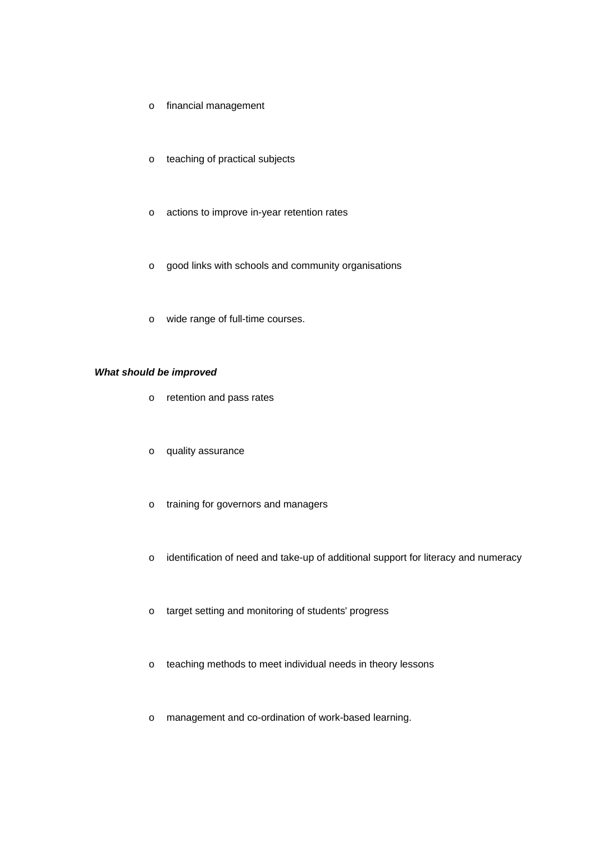- o financial management
- o teaching of practical subjects
- o actions to improve in-year retention rates
- o good links with schools and community organisations
- o wide range of full-time courses.

## *What should be improved*

- o retention and pass rates
- o quality assurance
- o training for governors and managers
- o identification of need and take-up of additional support for literacy and numeracy
- o target setting and monitoring of students' progress
- o teaching methods to meet individual needs in theory lessons
- o management and co-ordination of work-based learning.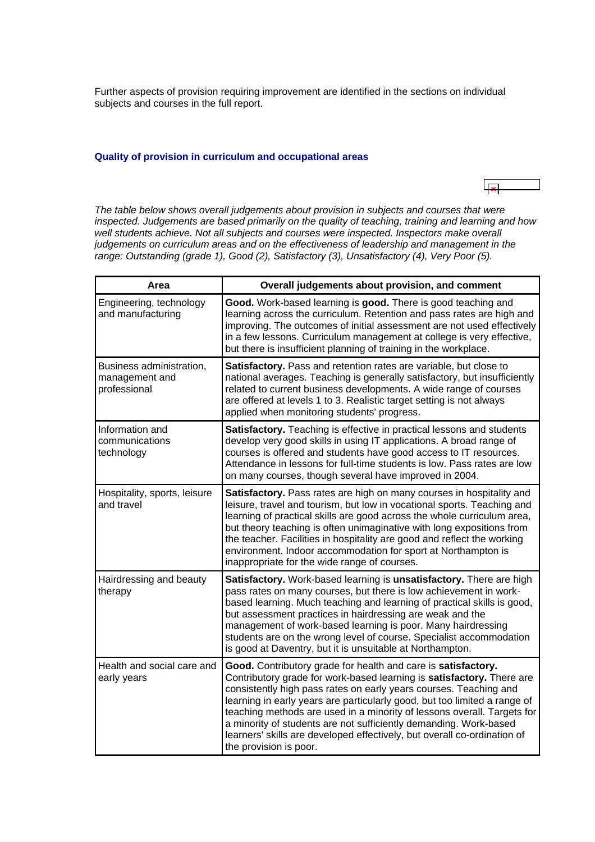<span id="page-4-0"></span>Further aspects of provision requiring improvement are identified in the sections on individual subjects and courses in the full report.

#### **Quality of provision in curriculum and occupational areas**

*The table below shows overall judgements about provision in subjects and courses that were inspected. Judgements are based primarily on the quality of teaching, training and learning and how*  well students achieve. Not all subjects and courses were inspected. Inspectors make overall *judgements on curriculum areas and on the effectiveness of leadership and management in the range: Outstanding (grade 1), Good (2), Satisfactory (3), Unsatisfactory (4), Very Poor (5).*

| Area                                                       | Overall judgements about provision, and comment                                                                                                                                                                                                                                                                                                                                                                                                                                                                                                |  |  |  |
|------------------------------------------------------------|------------------------------------------------------------------------------------------------------------------------------------------------------------------------------------------------------------------------------------------------------------------------------------------------------------------------------------------------------------------------------------------------------------------------------------------------------------------------------------------------------------------------------------------------|--|--|--|
| Engineering, technology<br>and manufacturing               | Good. Work-based learning is good. There is good teaching and<br>learning across the curriculum. Retention and pass rates are high and<br>improving. The outcomes of initial assessment are not used effectively<br>in a few lessons. Curriculum management at college is very effective,<br>but there is insufficient planning of training in the workplace.                                                                                                                                                                                  |  |  |  |
| Business administration,<br>management and<br>professional | Satisfactory. Pass and retention rates are variable, but close to<br>national averages. Teaching is generally satisfactory, but insufficiently<br>related to current business developments. A wide range of courses<br>are offered at levels 1 to 3. Realistic target setting is not always<br>applied when monitoring students' progress.                                                                                                                                                                                                     |  |  |  |
| Information and<br>communications<br>technology            | Satisfactory. Teaching is effective in practical lessons and students<br>develop very good skills in using IT applications. A broad range of<br>courses is offered and students have good access to IT resources.<br>Attendance in lessons for full-time students is low. Pass rates are low<br>on many courses, though several have improved in 2004.                                                                                                                                                                                         |  |  |  |
| Hospitality, sports, leisure<br>and travel                 | Satisfactory. Pass rates are high on many courses in hospitality and<br>leisure, travel and tourism, but low in vocational sports. Teaching and<br>learning of practical skills are good across the whole curriculum area,<br>but theory teaching is often unimaginative with long expositions from<br>the teacher. Facilities in hospitality are good and reflect the working<br>environment. Indoor accommodation for sport at Northampton is<br>inappropriate for the wide range of courses.                                                |  |  |  |
| Hairdressing and beauty<br>therapy                         | Satisfactory. Work-based learning is unsatisfactory. There are high<br>pass rates on many courses, but there is low achievement in work-<br>based learning. Much teaching and learning of practical skills is good,<br>but assessment practices in hairdressing are weak and the<br>management of work-based learning is poor. Many hairdressing<br>students are on the wrong level of course. Specialist accommodation<br>is good at Daventry, but it is unsuitable at Northampton.                                                           |  |  |  |
| Health and social care and<br>early years                  | Good. Contributory grade for health and care is satisfactory.<br>Contributory grade for work-based learning is satisfactory. There are<br>consistently high pass rates on early years courses. Teaching and<br>learning in early years are particularly good, but too limited a range of<br>teaching methods are used in a minority of lessons overall. Targets for<br>a minority of students are not sufficiently demanding. Work-based<br>learners' skills are developed effectively, but overall co-ordination of<br>the provision is poor. |  |  |  |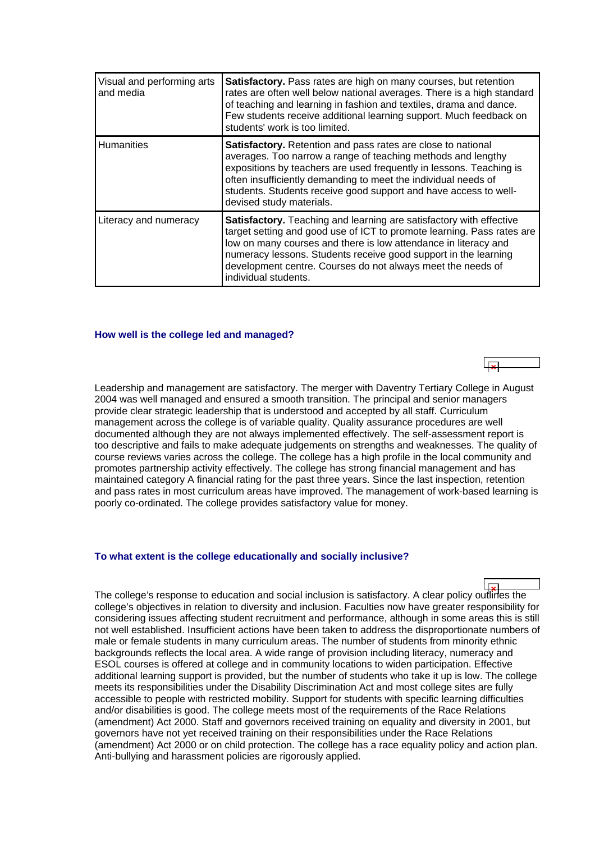<span id="page-5-0"></span>

| Visual and performing arts<br>and media | Satisfactory. Pass rates are high on many courses, but retention<br>rates are often well below national averages. There is a high standard<br>of teaching and learning in fashion and textiles, drama and dance.<br>Few students receive additional learning support. Much feedback on<br>students' work is too limited.                                                          |
|-----------------------------------------|-----------------------------------------------------------------------------------------------------------------------------------------------------------------------------------------------------------------------------------------------------------------------------------------------------------------------------------------------------------------------------------|
| <b>Humanities</b>                       | Satisfactory. Retention and pass rates are close to national<br>averages. Too narrow a range of teaching methods and lengthy<br>expositions by teachers are used frequently in lessons. Teaching is<br>often insufficiently demanding to meet the individual needs of<br>students. Students receive good support and have access to well-<br>devised study materials.             |
| Literacy and numeracy                   | <b>Satisfactory.</b> Teaching and learning are satisfactory with effective<br>target setting and good use of ICT to promote learning. Pass rates are<br>low on many courses and there is low attendance in literacy and<br>numeracy lessons. Students receive good support in the learning<br>development centre. Courses do not always meet the needs of<br>individual students. |

#### **How well is the college led and managed?**

Leadership and management are satisfactory. The merger with Daventry Tertiary College in August 2004 was well managed and ensured a smooth transition. The principal and senior managers provide clear strategic leadership that is understood and accepted by all staff. Curriculum management across the college is of variable quality. Quality assurance procedures are well documented although they are not always implemented effectively. The self-assessment report is too descriptive and fails to make adequate judgements on strengths and weaknesses. The quality of course reviews varies across the college. The college has a high profile in the local community and promotes partnership activity effectively. The college has strong financial management and has maintained category A financial rating for the past three years. Since the last inspection, retention and pass rates in most curriculum areas have improved. The management of work-based learning is poorly co-ordinated. The college provides satisfactory value for money.

#### **To what extent is the college educationally and socially inclusive?**

The college's response to education and social inclusion is satisfactory. A clear policy outlines the college's objectives in relation to diversity and inclusion. Faculties now have greater responsibility for considering issues affecting student recruitment and performance, although in some areas this is still not well established. Insufficient actions have been taken to address the disproportionate numbers of male or female students in many curriculum areas. The number of students from minority ethnic backgrounds reflects the local area. A wide range of provision including literacy, numeracy and ESOL courses is offered at college and in community locations to widen participation. Effective additional learning support is provided, but the number of students who take it up is low. The college meets its responsibilities under the Disability Discrimination Act and most college sites are fully accessible to people with restricted mobility. Support for students with specific learning difficulties and/or disabilities is good. The college meets most of the requirements of the Race Relations (amendment) Act 2000. Staff and governors received training on equality and diversity in 2001, but governors have not yet received training on their responsibilities under the Race Relations (amendment) Act 2000 or on child protection. The college has a race equality policy and action plan. Anti-bullying and harassment policies are rigorously applied.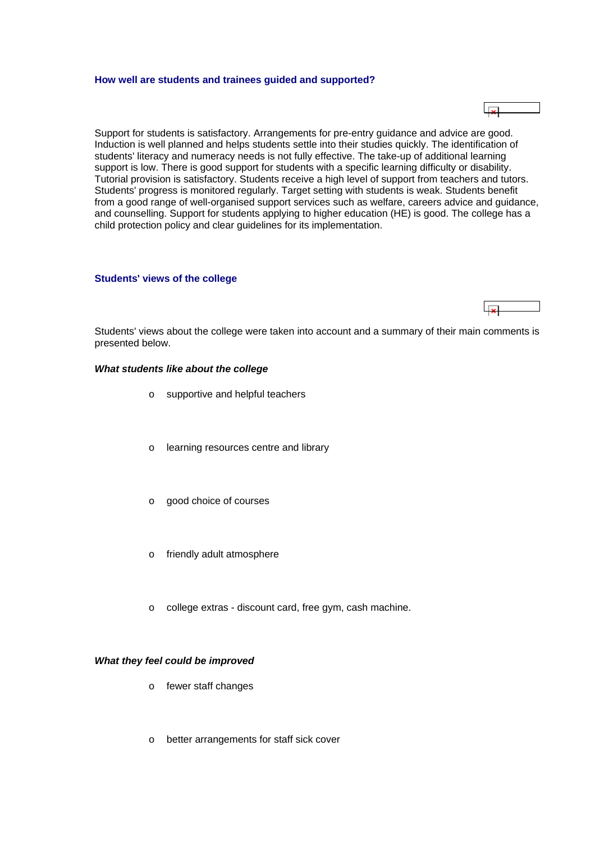#### <span id="page-6-0"></span>**How well are students and trainees guided and supported?**

Support for students is satisfactory. Arrangements for pre-entry guidance and advice are good. Induction is well planned and helps students settle into their studies quickly. The identification of students' literacy and numeracy needs is not fully effective. The take-up of additional learning support is low. There is good support for students with a specific learning difficulty or disability. Tutorial provision is satisfactory. Students receive a high level of support from teachers and tutors. Students' progress is monitored regularly. Target setting with students is weak. Students benefit from a good range of well-organised support services such as welfare, careers advice and guidance, and counselling. Support for students applying to higher education (HE) is good. The college has a child protection policy and clear guidelines for its implementation.

#### **Students' views of the college**

Students' views about the college were taken into account and a summary of their main comments is presented below.

#### *What students like about the college*

- o supportive and helpful teachers
- o learning resources centre and library
- o good choice of courses
- o friendly adult atmosphere
- o college extras discount card, free gym, cash machine.

#### *What they feel could be improved*

- o fewer staff changes
- o better arrangements for staff sick cover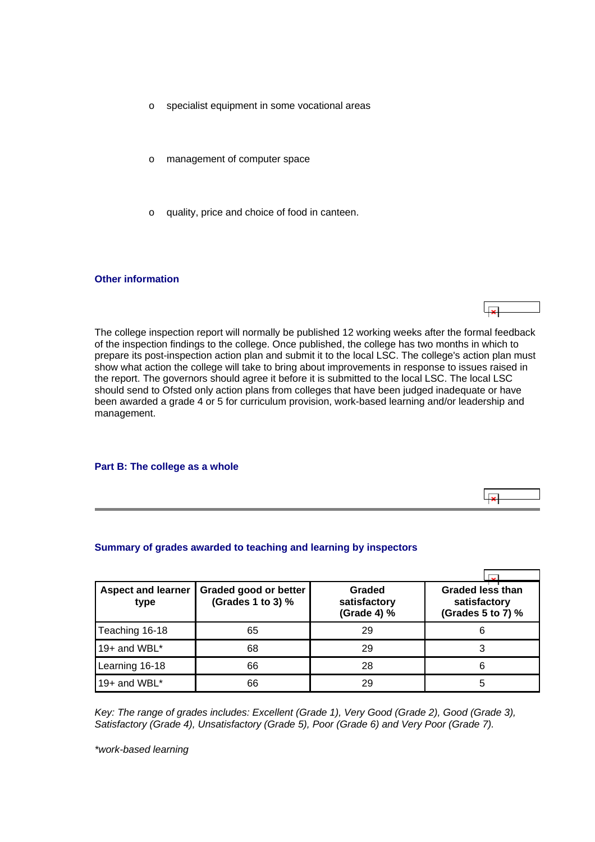- <span id="page-7-0"></span>o specialist equipment in some vocational areas
- o management of computer space
- o quality, price and choice of food in canteen.

#### **Other information**

The college inspection report will normally be published 12 working weeks after the formal feedback of the inspection findings to the college. Once published, the college has two months in which to prepare its post-inspection action plan and submit it to the local LSC. The college's action plan must show what action the college will take to bring about improvements in response to issues raised in the report. The governors should agree it before it is submitted to the local LSC. The local LSC should send to Ofsted only action plans from colleges that have been judged inadequate or have been awarded a grade 4 or 5 for curriculum provision, work-based learning and/or leadership and management.

ایجا

#### **Part B: The college as a whole**

#### **Summary of grades awarded to teaching and learning by inspectors**

| <b>Aspect and learner</b><br>type | Graded good or better<br>(Grades 1 to 3) % | Graded<br>satisfactory<br>(Grade 4) % | <b>Graded less than</b><br>satisfactory<br>(Grades 5 to 7) % |
|-----------------------------------|--------------------------------------------|---------------------------------------|--------------------------------------------------------------|
| Teaching 16-18                    | 65                                         | 29                                    | 6                                                            |
| 19+ and WBL*                      | 68                                         | 29                                    |                                                              |
| Learning 16-18                    | 66                                         | 28                                    | 6                                                            |
| 19+ and WBL*                      | 66                                         | 29                                    | 5                                                            |

*Key: The range of grades includes: Excellent (Grade 1), Very Good (Grade 2), Good (Grade 3), Satisfactory (Grade 4), Unsatisfactory (Grade 5), Poor (Grade 6) and Very Poor (Grade 7).*

*\*work-based learning*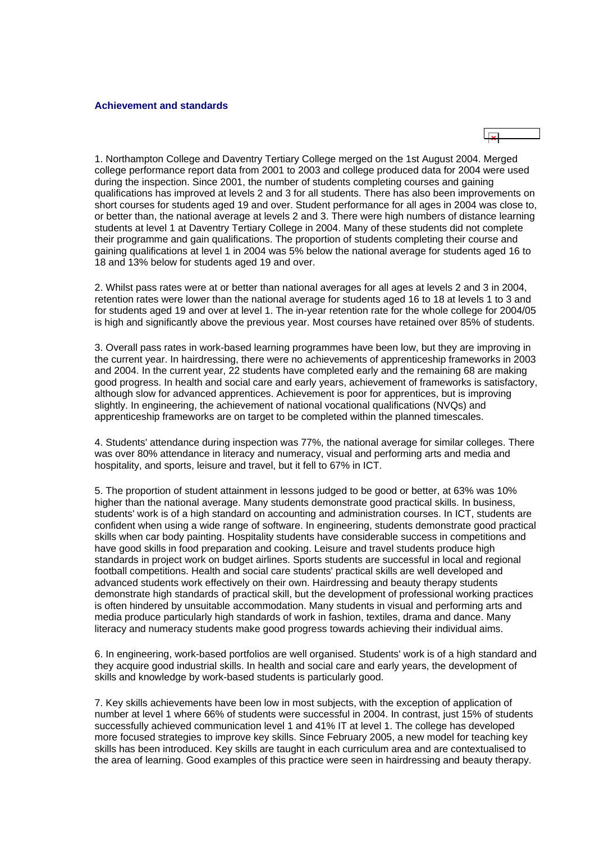#### <span id="page-8-0"></span>**Achievement and standards**

1. Northampton College and Daventry Tertiary College merged on the 1st August 2004. Merged college performance report data from 2001 to 2003 and college produced data for 2004 were used during the inspection. Since 2001, the number of students completing courses and gaining qualifications has improved at levels 2 and 3 for all students. There has also been improvements on short courses for students aged 19 and over. Student performance for all ages in 2004 was close to, or better than, the national average at levels 2 and 3. There were high numbers of distance learning students at level 1 at Daventry Tertiary College in 2004. Many of these students did not complete their programme and gain qualifications. The proportion of students completing their course and gaining qualifications at level 1 in 2004 was 5% below the national average for students aged 16 to 18 and 13% below for students aged 19 and over.

2. Whilst pass rates were at or better than national averages for all ages at levels 2 and 3 in 2004, retention rates were lower than the national average for students aged 16 to 18 at levels 1 to 3 and for students aged 19 and over at level 1. The in-year retention rate for the whole college for 2004/05 is high and significantly above the previous year. Most courses have retained over 85% of students.

3. Overall pass rates in work-based learning programmes have been low, but they are improving in the current year. In hairdressing, there were no achievements of apprenticeship frameworks in 2003 and 2004. In the current year, 22 students have completed early and the remaining 68 are making good progress. In health and social care and early years, achievement of frameworks is satisfactory, although slow for advanced apprentices. Achievement is poor for apprentices, but is improving slightly. In engineering, the achievement of national vocational qualifications (NVQs) and apprenticeship frameworks are on target to be completed within the planned timescales.

4. Students' attendance during inspection was 77%, the national average for similar colleges. There was over 80% attendance in literacy and numeracy, visual and performing arts and media and hospitality, and sports, leisure and travel, but it fell to 67% in ICT.

5. The proportion of student attainment in lessons judged to be good or better, at 63% was 10% higher than the national average. Many students demonstrate good practical skills. In business, students' work is of a high standard on accounting and administration courses. In ICT, students are confident when using a wide range of software. In engineering, students demonstrate good practical skills when car body painting. Hospitality students have considerable success in competitions and have good skills in food preparation and cooking. Leisure and travel students produce high standards in project work on budget airlines. Sports students are successful in local and regional football competitions. Health and social care students' practical skills are well developed and advanced students work effectively on their own. Hairdressing and beauty therapy students demonstrate high standards of practical skill, but the development of professional working practices is often hindered by unsuitable accommodation. Many students in visual and performing arts and media produce particularly high standards of work in fashion, textiles, drama and dance. Many literacy and numeracy students make good progress towards achieving their individual aims.

6. In engineering, work-based portfolios are well organised. Students' work is of a high standard and they acquire good industrial skills. In health and social care and early years, the development of skills and knowledge by work-based students is particularly good.

7. Key skills achievements have been low in most subjects, with the exception of application of number at level 1 where 66% of students were successful in 2004. In contrast, just 15% of students successfully achieved communication level 1 and 41% IT at level 1. The college has developed more focused strategies to improve key skills. Since February 2005, a new model for teaching key skills has been introduced. Key skills are taught in each curriculum area and are contextualised to the area of learning. Good examples of this practice were seen in hairdressing and beauty therapy.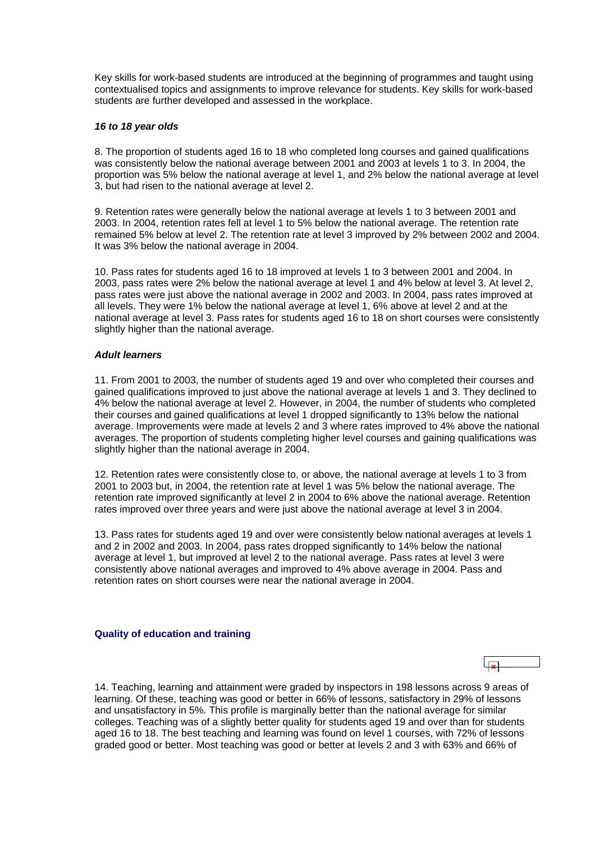<span id="page-9-0"></span>Key skills for work-based students are introduced at the beginning of programmes and taught using contextualised topics and assignments to improve relevance for students. Key skills for work-based students are further developed and assessed in the workplace.

#### *16 to 18 year olds*

8. The proportion of students aged 16 to 18 who completed long courses and gained qualifications was consistently below the national average between 2001 and 2003 at levels 1 to 3. In 2004, the proportion was 5% below the national average at level 1, and 2% below the national average at level 3, but had risen to the national average at level 2.

9. Retention rates were generally below the national average at levels 1 to 3 between 2001 and 2003. In 2004, retention rates fell at level 1 to 5% below the national average. The retention rate remained 5% below at level 2. The retention rate at level 3 improved by 2% between 2002 and 2004. It was 3% below the national average in 2004.

10. Pass rates for students aged 16 to 18 improved at levels 1 to 3 between 2001 and 2004. In 2003, pass rates were 2% below the national average at level 1 and 4% below at level 3. At level 2, pass rates were just above the national average in 2002 and 2003. In 2004, pass rates improved at all levels. They were 1% below the national average at level 1, 6% above at level 2 and at the national average at level 3. Pass rates for students aged 16 to 18 on short courses were consistently slightly higher than the national average.

## *Adult learners*

11. From 2001 to 2003, the number of students aged 19 and over who completed their courses and gained qualifications improved to just above the national average at levels 1 and 3. They declined to 4% below the national average at level 2. However, in 2004, the number of students who completed their courses and gained qualifications at level 1 dropped significantly to 13% below the national average. Improvements were made at levels 2 and 3 where rates improved to 4% above the national averages. The proportion of students completing higher level courses and gaining qualifications was slightly higher than the national average in 2004.

12. Retention rates were consistently close to, or above, the national average at levels 1 to 3 from 2001 to 2003 but, in 2004, the retention rate at level 1 was 5% below the national average. The retention rate improved significantly at level 2 in 2004 to 6% above the national average. Retention rates improved over three years and were just above the national average at level 3 in 2004.

13. Pass rates for students aged 19 and over were consistently below national averages at levels 1 and 2 in 2002 and 2003. In 2004, pass rates dropped significantly to 14% below the national average at level 1, but improved at level 2 to the national average. Pass rates at level 3 were consistently above national averages and improved to 4% above average in 2004. Pass and retention rates on short courses were near the national average in 2004.

#### **Quality of education and training**

14. Teaching, learning and attainment were graded by inspectors in 198 lessons across 9 areas of learning. Of these, teaching was good or better in 66% of lessons, satisfactory in 29% of lessons and unsatisfactory in 5%. This profile is marginally better than the national average for similar colleges. Teaching was of a slightly better quality for students aged 19 and over than for students aged 16 to 18. The best teaching and learning was found on level 1 courses, with 72% of lessons graded good or better. Most teaching was good or better at levels 2 and 3 with 63% and 66% of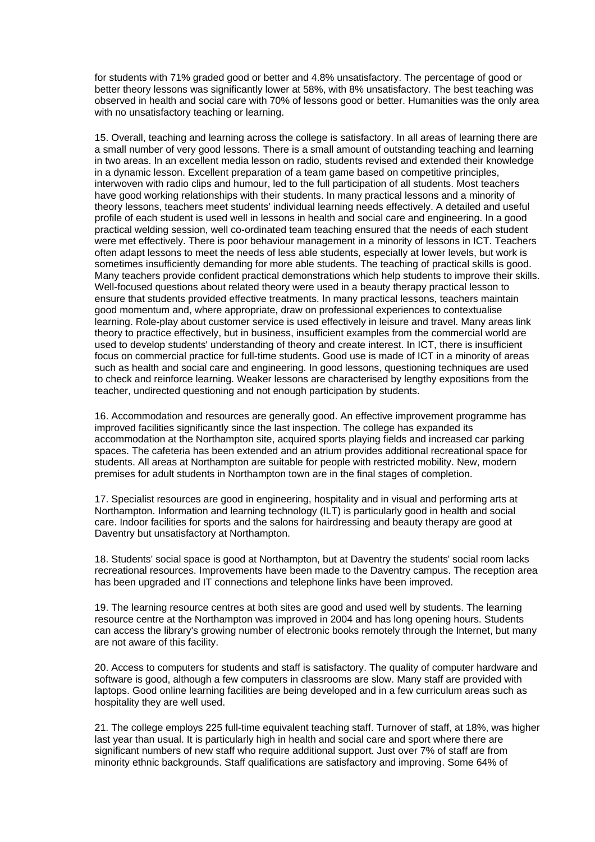for students with 71% graded good or better and 4.8% unsatisfactory. The percentage of good or better theory lessons was significantly lower at 58%, with 8% unsatisfactory. The best teaching was observed in health and social care with 70% of lessons good or better. Humanities was the only area with no unsatisfactory teaching or learning.

15. Overall, teaching and learning across the college is satisfactory. In all areas of learning there are a small number of very good lessons. There is a small amount of outstanding teaching and learning in two areas. In an excellent media lesson on radio, students revised and extended their knowledge in a dynamic lesson. Excellent preparation of a team game based on competitive principles, interwoven with radio clips and humour, led to the full participation of all students. Most teachers have good working relationships with their students. In many practical lessons and a minority of theory lessons, teachers meet students' individual learning needs effectively. A detailed and useful profile of each student is used well in lessons in health and social care and engineering. In a good practical welding session, well co-ordinated team teaching ensured that the needs of each student were met effectively. There is poor behaviour management in a minority of lessons in ICT. Teachers often adapt lessons to meet the needs of less able students, especially at lower levels, but work is sometimes insufficiently demanding for more able students. The teaching of practical skills is good. Many teachers provide confident practical demonstrations which help students to improve their skills. Well-focused questions about related theory were used in a beauty therapy practical lesson to ensure that students provided effective treatments. In many practical lessons, teachers maintain good momentum and, where appropriate, draw on professional experiences to contextualise learning. Role-play about customer service is used effectively in leisure and travel. Many areas link theory to practice effectively, but in business, insufficient examples from the commercial world are used to develop students' understanding of theory and create interest. In ICT, there is insufficient focus on commercial practice for full-time students. Good use is made of ICT in a minority of areas such as health and social care and engineering. In good lessons, questioning techniques are used to check and reinforce learning. Weaker lessons are characterised by lengthy expositions from the teacher, undirected questioning and not enough participation by students.

16. Accommodation and resources are generally good. An effective improvement programme has improved facilities significantly since the last inspection. The college has expanded its accommodation at the Northampton site, acquired sports playing fields and increased car parking spaces. The cafeteria has been extended and an atrium provides additional recreational space for students. All areas at Northampton are suitable for people with restricted mobility. New, modern premises for adult students in Northampton town are in the final stages of completion.

17. Specialist resources are good in engineering, hospitality and in visual and performing arts at Northampton. Information and learning technology (ILT) is particularly good in health and social care. Indoor facilities for sports and the salons for hairdressing and beauty therapy are good at Daventry but unsatisfactory at Northampton.

18. Students' social space is good at Northampton, but at Daventry the students' social room lacks recreational resources. Improvements have been made to the Daventry campus. The reception area has been upgraded and IT connections and telephone links have been improved.

19. The learning resource centres at both sites are good and used well by students. The learning resource centre at the Northampton was improved in 2004 and has long opening hours. Students can access the library's growing number of electronic books remotely through the Internet, but many are not aware of this facility.

20. Access to computers for students and staff is satisfactory. The quality of computer hardware and software is good, although a few computers in classrooms are slow. Many staff are provided with laptops. Good online learning facilities are being developed and in a few curriculum areas such as hospitality they are well used.

21. The college employs 225 full-time equivalent teaching staff. Turnover of staff, at 18%, was higher last year than usual. It is particularly high in health and social care and sport where there are significant numbers of new staff who require additional support. Just over 7% of staff are from minority ethnic backgrounds. Staff qualifications are satisfactory and improving. Some 64% of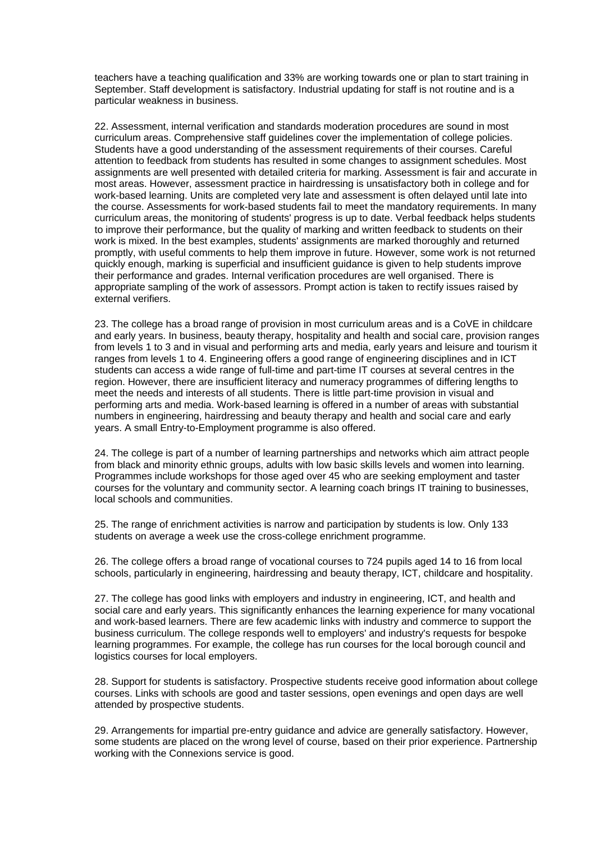teachers have a teaching qualification and 33% are working towards one or plan to start training in September. Staff development is satisfactory. Industrial updating for staff is not routine and is a particular weakness in business.

22. Assessment, internal verification and standards moderation procedures are sound in most curriculum areas. Comprehensive staff guidelines cover the implementation of college policies. Students have a good understanding of the assessment requirements of their courses. Careful attention to feedback from students has resulted in some changes to assignment schedules. Most assignments are well presented with detailed criteria for marking. Assessment is fair and accurate in most areas. However, assessment practice in hairdressing is unsatisfactory both in college and for work-based learning. Units are completed very late and assessment is often delayed until late into the course. Assessments for work-based students fail to meet the mandatory requirements. In many curriculum areas, the monitoring of students' progress is up to date. Verbal feedback helps students to improve their performance, but the quality of marking and written feedback to students on their work is mixed. In the best examples, students' assignments are marked thoroughly and returned promptly, with useful comments to help them improve in future. However, some work is not returned quickly enough, marking is superficial and insufficient guidance is given to help students improve their performance and grades. Internal verification procedures are well organised. There is appropriate sampling of the work of assessors. Prompt action is taken to rectify issues raised by external verifiers.

23. The college has a broad range of provision in most curriculum areas and is a CoVE in childcare and early years. In business, beauty therapy, hospitality and health and social care, provision ranges from levels 1 to 3 and in visual and performing arts and media, early years and leisure and tourism it ranges from levels 1 to 4. Engineering offers a good range of engineering disciplines and in ICT students can access a wide range of full-time and part-time IT courses at several centres in the region. However, there are insufficient literacy and numeracy programmes of differing lengths to meet the needs and interests of all students. There is little part-time provision in visual and performing arts and media. Work-based learning is offered in a number of areas with substantial numbers in engineering, hairdressing and beauty therapy and health and social care and early years. A small Entry-to-Employment programme is also offered.

24. The college is part of a number of learning partnerships and networks which aim attract people from black and minority ethnic groups, adults with low basic skills levels and women into learning. Programmes include workshops for those aged over 45 who are seeking employment and taster courses for the voluntary and community sector. A learning coach brings IT training to businesses, local schools and communities.

25. The range of enrichment activities is narrow and participation by students is low. Only 133 students on average a week use the cross-college enrichment programme.

26. The college offers a broad range of vocational courses to 724 pupils aged 14 to 16 from local schools, particularly in engineering, hairdressing and beauty therapy, ICT, childcare and hospitality.

27. The college has good links with employers and industry in engineering, ICT, and health and social care and early years. This significantly enhances the learning experience for many vocational and work-based learners. There are few academic links with industry and commerce to support the business curriculum. The college responds well to employers' and industry's requests for bespoke learning programmes. For example, the college has run courses for the local borough council and logistics courses for local employers.

28. Support for students is satisfactory. Prospective students receive good information about college courses. Links with schools are good and taster sessions, open evenings and open days are well attended by prospective students.

29. Arrangements for impartial pre-entry guidance and advice are generally satisfactory. However, some students are placed on the wrong level of course, based on their prior experience. Partnership working with the Connexions service is good.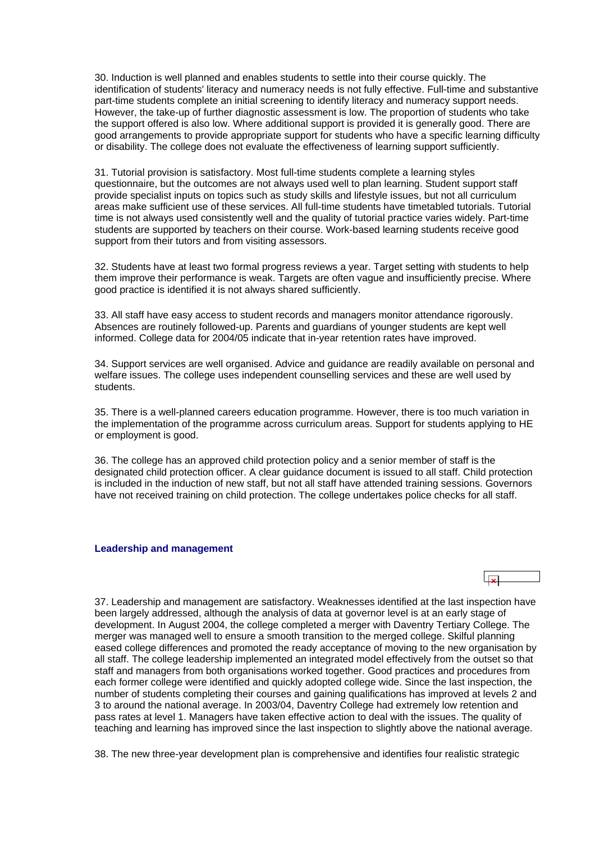<span id="page-12-0"></span>30. Induction is well planned and enables students to settle into their course quickly. The identification of students' literacy and numeracy needs is not fully effective. Full-time and substantive part-time students complete an initial screening to identify literacy and numeracy support needs. However, the take-up of further diagnostic assessment is low. The proportion of students who take the support offered is also low. Where additional support is provided it is generally good. There are good arrangements to provide appropriate support for students who have a specific learning difficulty or disability. The college does not evaluate the effectiveness of learning support sufficiently.

31. Tutorial provision is satisfactory. Most full-time students complete a learning styles questionnaire, but the outcomes are not always used well to plan learning. Student support staff provide specialist inputs on topics such as study skills and lifestyle issues, but not all curriculum areas make sufficient use of these services. All full-time students have timetabled tutorials. Tutorial time is not always used consistently well and the quality of tutorial practice varies widely. Part-time students are supported by teachers on their course. Work-based learning students receive good support from their tutors and from visiting assessors.

32. Students have at least two formal progress reviews a year. Target setting with students to help them improve their performance is weak. Targets are often vague and insufficiently precise. Where good practice is identified it is not always shared sufficiently.

33. All staff have easy access to student records and managers monitor attendance rigorously. Absences are routinely followed-up. Parents and guardians of younger students are kept well informed. College data for 2004/05 indicate that in-year retention rates have improved.

34. Support services are well organised. Advice and guidance are readily available on personal and welfare issues. The college uses independent counselling services and these are well used by students.

35. There is a well-planned careers education programme. However, there is too much variation in the implementation of the programme across curriculum areas. Support for students applying to HE or employment is good.

36. The college has an approved child protection policy and a senior member of staff is the designated child protection officer. A clear guidance document is issued to all staff. Child protection is included in the induction of new staff, but not all staff have attended training sessions. Governors have not received training on child protection. The college undertakes police checks for all staff.

#### **Leadership and management**

37. Leadership and management are satisfactory. Weaknesses identified at the last inspection have been largely addressed, although the analysis of data at governor level is at an early stage of development. In August 2004, the college completed a merger with Daventry Tertiary College. The merger was managed well to ensure a smooth transition to the merged college. Skilful planning eased college differences and promoted the ready acceptance of moving to the new organisation by all staff. The college leadership implemented an integrated model effectively from the outset so that staff and managers from both organisations worked together. Good practices and procedures from each former college were identified and quickly adopted college wide. Since the last inspection, the number of students completing their courses and gaining qualifications has improved at levels 2 and 3 to around the national average. In 2003/04, Daventry College had extremely low retention and pass rates at level 1. Managers have taken effective action to deal with the issues. The quality of teaching and learning has improved since the last inspection to slightly above the national average.

38. The new three-year development plan is comprehensive and identifies four realistic strategic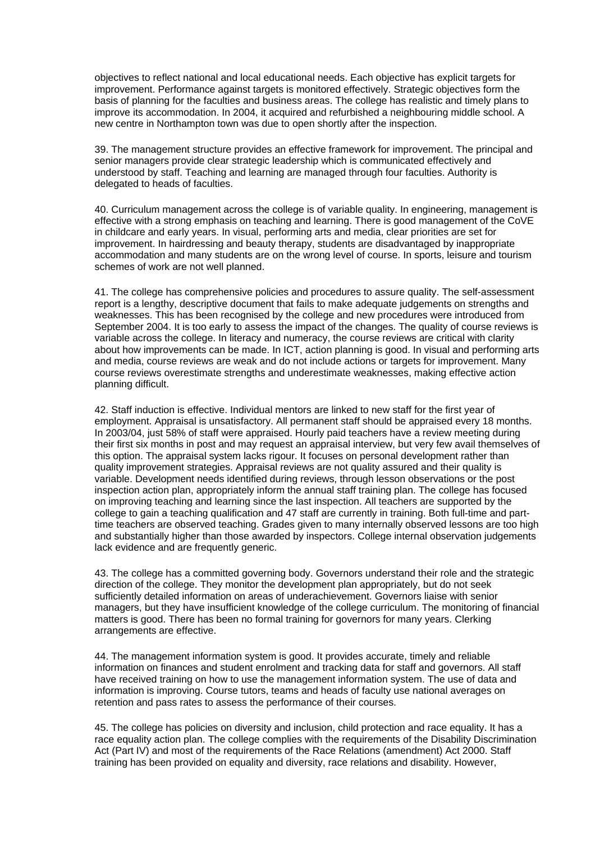objectives to reflect national and local educational needs. Each objective has explicit targets for improvement. Performance against targets is monitored effectively. Strategic objectives form the basis of planning for the faculties and business areas. The college has realistic and timely plans to improve its accommodation. In 2004, it acquired and refurbished a neighbouring middle school. A new centre in Northampton town was due to open shortly after the inspection.

39. The management structure provides an effective framework for improvement. The principal and senior managers provide clear strategic leadership which is communicated effectively and understood by staff. Teaching and learning are managed through four faculties. Authority is delegated to heads of faculties.

40. Curriculum management across the college is of variable quality. In engineering, management is effective with a strong emphasis on teaching and learning. There is good management of the CoVE in childcare and early years. In visual, performing arts and media, clear priorities are set for improvement. In hairdressing and beauty therapy, students are disadvantaged by inappropriate accommodation and many students are on the wrong level of course. In sports, leisure and tourism schemes of work are not well planned.

41. The college has comprehensive policies and procedures to assure quality. The self-assessment report is a lengthy, descriptive document that fails to make adequate judgements on strengths and weaknesses. This has been recognised by the college and new procedures were introduced from September 2004. It is too early to assess the impact of the changes. The quality of course reviews is variable across the college. In literacy and numeracy, the course reviews are critical with clarity about how improvements can be made. In ICT, action planning is good. In visual and performing arts and media, course reviews are weak and do not include actions or targets for improvement. Many course reviews overestimate strengths and underestimate weaknesses, making effective action planning difficult.

42. Staff induction is effective. Individual mentors are linked to new staff for the first year of employment. Appraisal is unsatisfactory. All permanent staff should be appraised every 18 months. In 2003/04, just 58% of staff were appraised. Hourly paid teachers have a review meeting during their first six months in post and may request an appraisal interview, but very few avail themselves of this option. The appraisal system lacks rigour. It focuses on personal development rather than quality improvement strategies. Appraisal reviews are not quality assured and their quality is variable. Development needs identified during reviews, through lesson observations or the post inspection action plan, appropriately inform the annual staff training plan. The college has focused on improving teaching and learning since the last inspection. All teachers are supported by the college to gain a teaching qualification and 47 staff are currently in training. Both full-time and parttime teachers are observed teaching. Grades given to many internally observed lessons are too high and substantially higher than those awarded by inspectors. College internal observation judgements lack evidence and are frequently generic.

43. The college has a committed governing body. Governors understand their role and the strategic direction of the college. They monitor the development plan appropriately, but do not seek sufficiently detailed information on areas of underachievement. Governors liaise with senior managers, but they have insufficient knowledge of the college curriculum. The monitoring of financial matters is good. There has been no formal training for governors for many years. Clerking arrangements are effective.

44. The management information system is good. It provides accurate, timely and reliable information on finances and student enrolment and tracking data for staff and governors. All staff have received training on how to use the management information system. The use of data and information is improving. Course tutors, teams and heads of faculty use national averages on retention and pass rates to assess the performance of their courses.

45. The college has policies on diversity and inclusion, child protection and race equality. It has a race equality action plan. The college complies with the requirements of the Disability Discrimination Act (Part IV) and most of the requirements of the Race Relations (amendment) Act 2000. Staff training has been provided on equality and diversity, race relations and disability. However,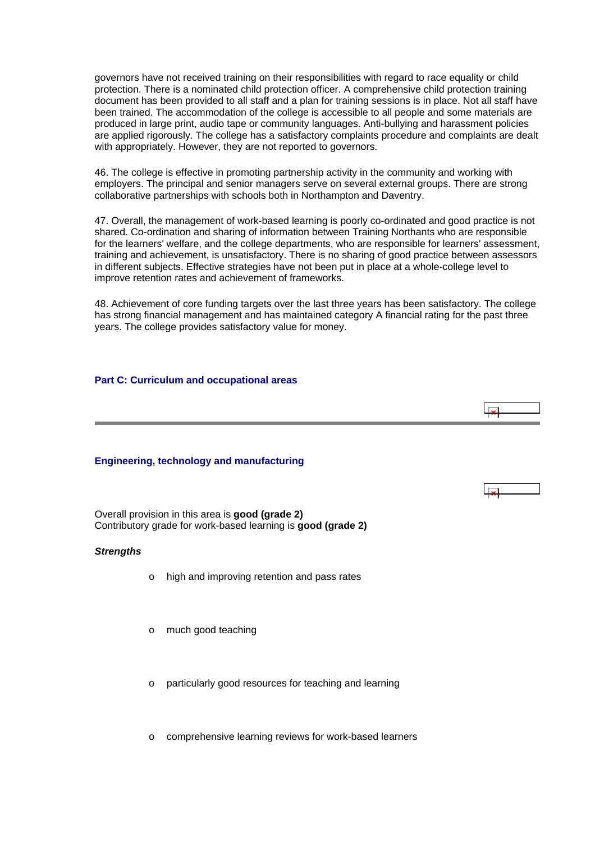<span id="page-14-0"></span>governors have not received training on their responsibilities with regard to race equality or child protection. There is a nominated child protection officer. A comprehensive child protection training document has been provided to all staff and a plan for training sessions is in place. Not all staff have been trained. The accommodation of the college is accessible to all people and some materials are produced in large print, audio tape or community languages. Anti-bullying and harassment policies are applied rigorously. The college has a satisfactory complaints procedure and complaints are dealt with appropriately. However, they are not reported to governors.

46. The college is effective in promoting partnership activity in the community and working with employers. The principal and senior managers serve on several external groups. There are strong collaborative partnerships with schools both in Northampton and Daventry.

47. Overall, the management of work-based learning is poorly co-ordinated and good practice is not shared. Co-ordination and sharing of information between Training Northants who are responsible for the learners' welfare, and the college departments, who are responsible for learners' assessment, training and achievement, is unsatisfactory. There is no sharing of good practice between assessors in different subjects. Effective strategies have not been put in place at a whole-college level to improve retention rates and achievement of frameworks.

48. Achievement of core funding targets over the last three years has been satisfactory. The college has strong financial management and has maintained category A financial rating for the past three years. The college provides satisfactory value for money.

 $\overline{1}$ 

#### **Part C: Curriculum and occupational areas**

#### **Engineering, technology and manufacturing**

Overall provision in this area is **good (grade 2)** Contributory grade for work-based learning is **good (grade 2)**

#### *Strengths*

- o high and improving retention and pass rates
- o much good teaching
- o particularly good resources for teaching and learning
- o comprehensive learning reviews for work-based learners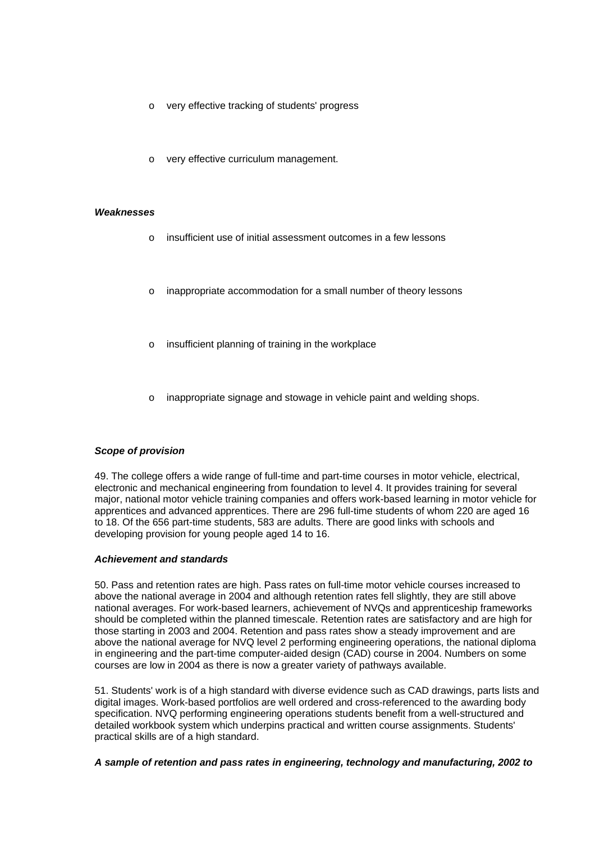- o very effective tracking of students' progress
- very effective curriculum management.

#### *Weaknesses*

- o insufficient use of initial assessment outcomes in a few lessons
- o inappropriate accommodation for a small number of theory lessons
- insufficient planning of training in the workplace
- inappropriate signage and stowage in vehicle paint and welding shops.

#### *Scope of provision*

49. The college offers a wide range of full-time and part-time courses in motor vehicle, electrical, electronic and mechanical engineering from foundation to level 4. It provides training for several major, national motor vehicle training companies and offers work-based learning in motor vehicle for apprentices and advanced apprentices. There are 296 full-time students of whom 220 are aged 16 to 18. Of the 656 part-time students, 583 are adults. There are good links with schools and developing provision for young people aged 14 to 16.

#### *Achievement and standards*

50. Pass and retention rates are high. Pass rates on full-time motor vehicle courses increased to above the national average in 2004 and although retention rates fell slightly, they are still above national averages. For work-based learners, achievement of NVQs and apprenticeship frameworks should be completed within the planned timescale. Retention rates are satisfactory and are high for those starting in 2003 and 2004. Retention and pass rates show a steady improvement and are above the national average for NVQ level 2 performing engineering operations, the national diploma in engineering and the part-time computer-aided design (CAD) course in 2004. Numbers on some courses are low in 2004 as there is now a greater variety of pathways available.

51. Students' work is of a high standard with diverse evidence such as CAD drawings, parts lists and digital images. Work-based portfolios are well ordered and cross-referenced to the awarding body specification. NVQ performing engineering operations students benefit from a well-structured and detailed workbook system which underpins practical and written course assignments. Students' practical skills are of a high standard.

*A sample of retention and pass rates in engineering, technology and manufacturing, 2002 to*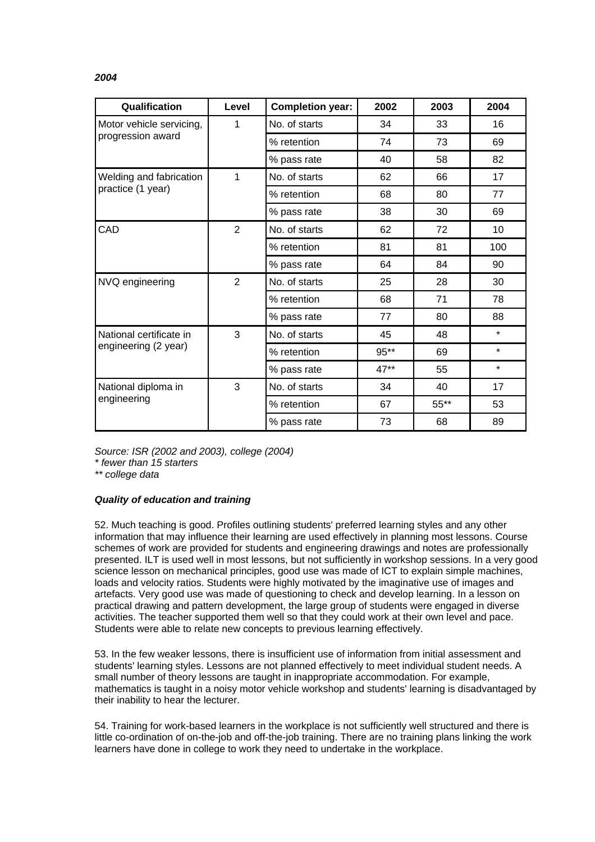## *2004*

| Qualification            | Level          | <b>Completion year:</b> | 2002   | 2003    | 2004    |
|--------------------------|----------------|-------------------------|--------|---------|---------|
| Motor vehicle servicing, | 1              | No. of starts           | 34     | 33      | 16      |
| progression award        |                | % retention             | 74     | 73      | 69      |
|                          |                | % pass rate             | 40     | 58      | 82      |
| Welding and fabrication  | 1              | No. of starts           | 62     | 66      | 17      |
| practice (1 year)        |                | % retention             | 68     | 80      | 77      |
|                          |                | % pass rate             | 38     | 30      | 69      |
| CAD                      | $\overline{2}$ | No. of starts           | 62     | 72      | 10      |
|                          |                | % retention             | 81     | 81      | 100     |
|                          |                | % pass rate             | 64     | 84      | 90      |
| NVQ engineering          | 2              | No. of starts           | 25     | 28      | 30      |
|                          |                | % retention             | 68     | 71      | 78      |
|                          |                | % pass rate             | 77     | 80      | 88      |
| National certificate in  | 3              | No. of starts           | 45     | 48      | $\star$ |
| engineering (2 year)     |                | % retention             | 95**   | 69      | $\star$ |
|                          |                | % pass rate             | $47**$ | 55      | $\star$ |
| National diploma in      | 3              | No. of starts           | 34     | 40      | 17      |
| engineering              |                | % retention             | 67     | $55***$ | 53      |
|                          |                | % pass rate             | 73     | 68      | 89      |

*Source: ISR (2002 and 2003), college (2004)* 

*\* fewer than 15 starters* 

*\*\* college data*

#### *Quality of education and training*

52. Much teaching is good. Profiles outlining students' preferred learning styles and any other information that may influence their learning are used effectively in planning most lessons. Course schemes of work are provided for students and engineering drawings and notes are professionally presented. ILT is used well in most lessons, but not sufficiently in workshop sessions. In a very good science lesson on mechanical principles, good use was made of ICT to explain simple machines, loads and velocity ratios. Students were highly motivated by the imaginative use of images and artefacts. Very good use was made of questioning to check and develop learning. In a lesson on practical drawing and pattern development, the large group of students were engaged in diverse activities. The teacher supported them well so that they could work at their own level and pace. Students were able to relate new concepts to previous learning effectively.

53. In the few weaker lessons, there is insufficient use of information from initial assessment and students' learning styles. Lessons are not planned effectively to meet individual student needs. A small number of theory lessons are taught in inappropriate accommodation. For example, mathematics is taught in a noisy motor vehicle workshop and students' learning is disadvantaged by their inability to hear the lecturer.

54. Training for work-based learners in the workplace is not sufficiently well structured and there is little co-ordination of on-the-job and off-the-job training. There are no training plans linking the work learners have done in college to work they need to undertake in the workplace.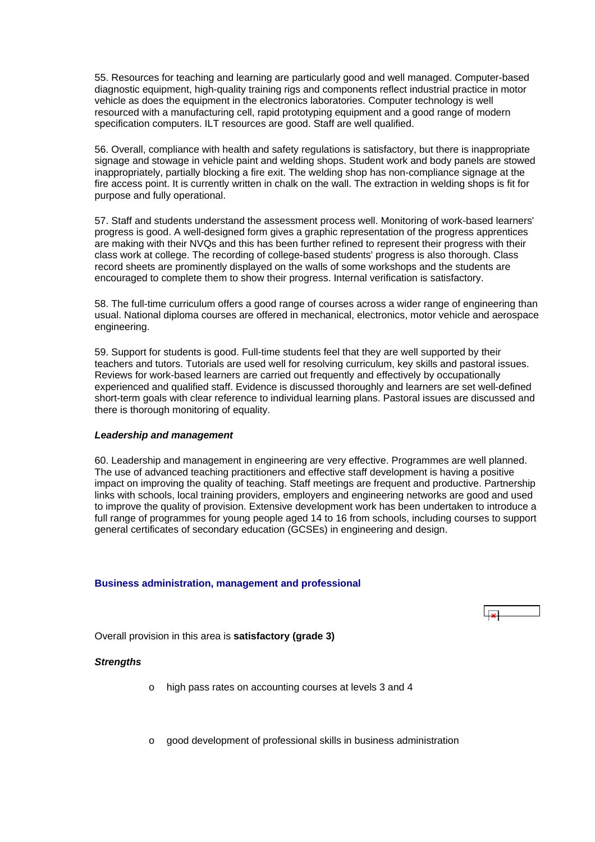<span id="page-17-0"></span>55. Resources for teaching and learning are particularly good and well managed. Computer-based diagnostic equipment, high-quality training rigs and components reflect industrial practice in motor vehicle as does the equipment in the electronics laboratories. Computer technology is well resourced with a manufacturing cell, rapid prototyping equipment and a good range of modern specification computers. ILT resources are good. Staff are well qualified.

56. Overall, compliance with health and safety regulations is satisfactory, but there is inappropriate signage and stowage in vehicle paint and welding shops. Student work and body panels are stowed inappropriately, partially blocking a fire exit. The welding shop has non-compliance signage at the fire access point. It is currently written in chalk on the wall. The extraction in welding shops is fit for purpose and fully operational.

57. Staff and students understand the assessment process well. Monitoring of work-based learners' progress is good. A well-designed form gives a graphic representation of the progress apprentices are making with their NVQs and this has been further refined to represent their progress with their class work at college. The recording of college-based students' progress is also thorough. Class record sheets are prominently displayed on the walls of some workshops and the students are encouraged to complete them to show their progress. Internal verification is satisfactory.

58. The full-time curriculum offers a good range of courses across a wider range of engineering than usual. National diploma courses are offered in mechanical, electronics, motor vehicle and aerospace engineering.

59. Support for students is good. Full-time students feel that they are well supported by their teachers and tutors. Tutorials are used well for resolving curriculum, key skills and pastoral issues. Reviews for work-based learners are carried out frequently and effectively by occupationally experienced and qualified staff. Evidence is discussed thoroughly and learners are set well-defined short-term goals with clear reference to individual learning plans. Pastoral issues are discussed and there is thorough monitoring of equality.

#### *Leadership and management*

60. Leadership and management in engineering are very effective. Programmes are well planned. The use of advanced teaching practitioners and effective staff development is having a positive impact on improving the quality of teaching. Staff meetings are frequent and productive. Partnership links with schools, local training providers, employers and engineering networks are good and used to improve the quality of provision. Extensive development work has been undertaken to introduce a full range of programmes for young people aged 14 to 16 from schools, including courses to support general certificates of secondary education (GCSEs) in engineering and design.

#### **Business administration, management and professional**



Overall provision in this area is **satisfactory (grade 3)**

#### *Strengths*

- o high pass rates on accounting courses at levels 3 and 4
- o good development of professional skills in business administration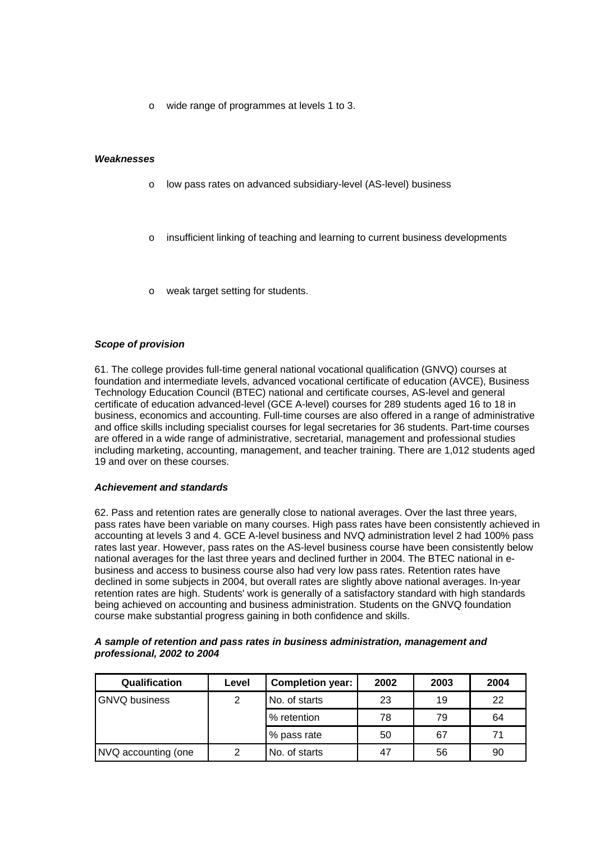o wide range of programmes at levels 1 to 3.

#### *Weaknesses*

- o low pass rates on advanced subsidiary-level (AS-level) business
- o insufficient linking of teaching and learning to current business developments
- weak target setting for students.

## *Scope of provision*

61. The college provides full-time general national vocational qualification (GNVQ) courses at foundation and intermediate levels, advanced vocational certificate of education (AVCE), Business Technology Education Council (BTEC) national and certificate courses, AS-level and general certificate of education advanced-level (GCE A-level) courses for 289 students aged 16 to 18 in business, economics and accounting. Full-time courses are also offered in a range of administrative and office skills including specialist courses for legal secretaries for 36 students. Part-time courses are offered in a wide range of administrative, secretarial, management and professional studies including marketing, accounting, management, and teacher training. There are 1,012 students aged 19 and over on these courses.

#### *Achievement and standards*

62. Pass and retention rates are generally close to national averages. Over the last three years, pass rates have been variable on many courses. High pass rates have been consistently achieved in accounting at levels 3 and 4. GCE A-level business and NVQ administration level 2 had 100% pass rates last year. However, pass rates on the AS-level business course have been consistently below national averages for the last three years and declined further in 2004. The BTEC national in ebusiness and access to business course also had very low pass rates. Retention rates have declined in some subjects in 2004, but overall rates are slightly above national averages. In-year retention rates are high. Students' work is generally of a satisfactory standard with high standards being achieved on accounting and business administration. Students on the GNVQ foundation course make substantial progress gaining in both confidence and skills.

| A sample of retention and pass rates in business administration, management and |  |
|---------------------------------------------------------------------------------|--|
| professional, 2002 to 2004                                                      |  |

| <b>Qualification</b> | Level | <b>Completion year:</b> | 2002 | 2003 | 2004 |
|----------------------|-------|-------------------------|------|------|------|
| <b>GNVQ business</b> | 2     | No. of starts           | 23   | 19   | 22   |
|                      |       | % retention             | 78   | 79   | 64   |
|                      |       | % pass rate             | 50   | 67   | 71   |
| NVQ accounting (one  | 2     | No. of starts           | 47   | 56   | 90   |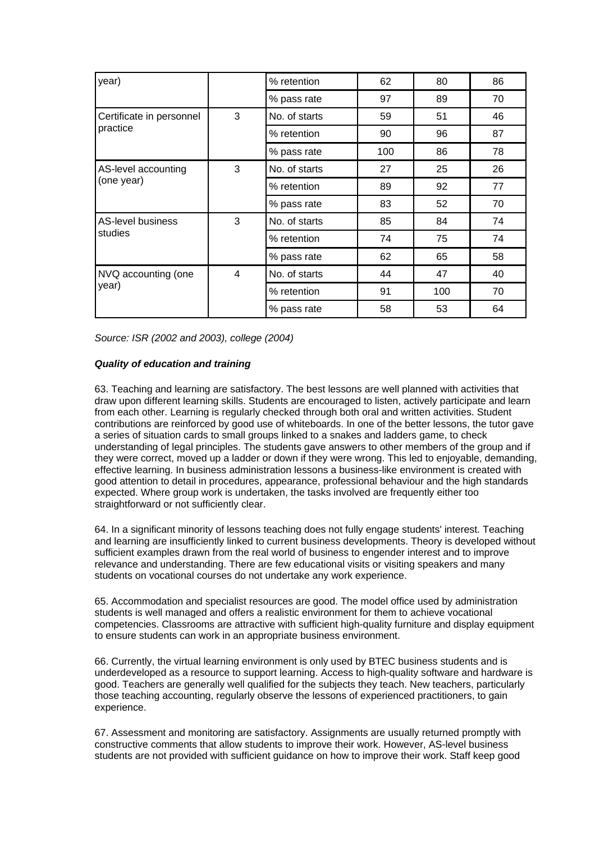| year)                    |                         | % retention   | 62  | 80  | 86 |
|--------------------------|-------------------------|---------------|-----|-----|----|
|                          |                         | % pass rate   | 97  | 89  | 70 |
| Certificate in personnel | 3                       | No. of starts | 59  | 51  | 46 |
| practice                 |                         | % retention   | 90  | 96  | 87 |
|                          |                         | % pass rate   | 100 | 86  | 78 |
| AS-level accounting      | 3                       | No. of starts | 27  | 25  | 26 |
| (one year)               |                         | % retention   | 89  | 92  | 77 |
|                          |                         | % pass rate   | 83  | 52  | 70 |
| <b>AS-level business</b> | 3                       | No. of starts | 85  | 84  | 74 |
| studies                  |                         | % retention   | 74  | 75  | 74 |
|                          |                         | % pass rate   | 62  | 65  | 58 |
| NVQ accounting (one      | $\overline{\mathbf{4}}$ | No. of starts | 44  | 47  | 40 |
| year)                    |                         | % retention   | 91  | 100 | 70 |
|                          |                         | % pass rate   | 58  | 53  | 64 |

*Source: ISR (2002 and 2003), college (2004)*

## *Quality of education and training*

63. Teaching and learning are satisfactory. The best lessons are well planned with activities that draw upon different learning skills. Students are encouraged to listen, actively participate and learn from each other. Learning is regularly checked through both oral and written activities. Student contributions are reinforced by good use of whiteboards. In one of the better lessons, the tutor gave a series of situation cards to small groups linked to a snakes and ladders game, to check understanding of legal principles. The students gave answers to other members of the group and if they were correct, moved up a ladder or down if they were wrong. This led to enjoyable, demanding, effective learning. In business administration lessons a business-like environment is created with good attention to detail in procedures, appearance, professional behaviour and the high standards expected. Where group work is undertaken, the tasks involved are frequently either too straightforward or not sufficiently clear.

64. In a significant minority of lessons teaching does not fully engage students' interest. Teaching and learning are insufficiently linked to current business developments. Theory is developed without sufficient examples drawn from the real world of business to engender interest and to improve relevance and understanding. There are few educational visits or visiting speakers and many students on vocational courses do not undertake any work experience.

65. Accommodation and specialist resources are good. The model office used by administration students is well managed and offers a realistic environment for them to achieve vocational competencies. Classrooms are attractive with sufficient high-quality furniture and display equipment to ensure students can work in an appropriate business environment.

66. Currently, the virtual learning environment is only used by BTEC business students and is underdeveloped as a resource to support learning. Access to high-quality software and hardware is good. Teachers are generally well qualified for the subjects they teach. New teachers, particularly those teaching accounting, regularly observe the lessons of experienced practitioners, to gain experience.

67. Assessment and monitoring are satisfactory. Assignments are usually returned promptly with constructive comments that allow students to improve their work. However, AS-level business students are not provided with sufficient guidance on how to improve their work. Staff keep good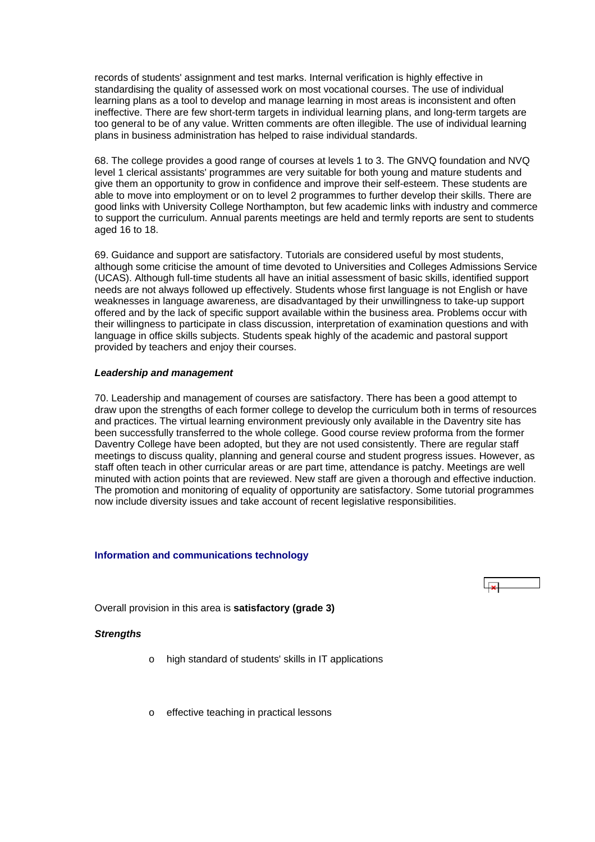<span id="page-20-0"></span>records of students' assignment and test marks. Internal verification is highly effective in standardising the quality of assessed work on most vocational courses. The use of individual learning plans as a tool to develop and manage learning in most areas is inconsistent and often ineffective. There are few short-term targets in individual learning plans, and long-term targets are too general to be of any value. Written comments are often illegible. The use of individual learning plans in business administration has helped to raise individual standards.

68. The college provides a good range of courses at levels 1 to 3. The GNVQ foundation and NVQ level 1 clerical assistants' programmes are very suitable for both young and mature students and give them an opportunity to grow in confidence and improve their self-esteem. These students are able to move into employment or on to level 2 programmes to further develop their skills. There are good links with University College Northampton, but few academic links with industry and commerce to support the curriculum. Annual parents meetings are held and termly reports are sent to students aged 16 to 18.

69. Guidance and support are satisfactory. Tutorials are considered useful by most students, although some criticise the amount of time devoted to Universities and Colleges Admissions Service (UCAS). Although full-time students all have an initial assessment of basic skills, identified support needs are not always followed up effectively. Students whose first language is not English or have weaknesses in language awareness, are disadvantaged by their unwillingness to take-up support offered and by the lack of specific support available within the business area. Problems occur with their willingness to participate in class discussion, interpretation of examination questions and with language in office skills subjects. Students speak highly of the academic and pastoral support provided by teachers and enjoy their courses.

#### *Leadership and management*

70. Leadership and management of courses are satisfactory. There has been a good attempt to draw upon the strengths of each former college to develop the curriculum both in terms of resources and practices. The virtual learning environment previously only available in the Daventry site has been successfully transferred to the whole college. Good course review proforma from the former Daventry College have been adopted, but they are not used consistently. There are regular staff meetings to discuss quality, planning and general course and student progress issues. However, as staff often teach in other curricular areas or are part time, attendance is patchy. Meetings are well minuted with action points that are reviewed. New staff are given a thorough and effective induction. The promotion and monitoring of equality of opportunity are satisfactory. Some tutorial programmes now include diversity issues and take account of recent legislative responsibilities.

#### **Information and communications technology**



Overall provision in this area is **satisfactory (grade 3)**

## *Strengths*

- o high standard of students' skills in IT applications
- o effective teaching in practical lessons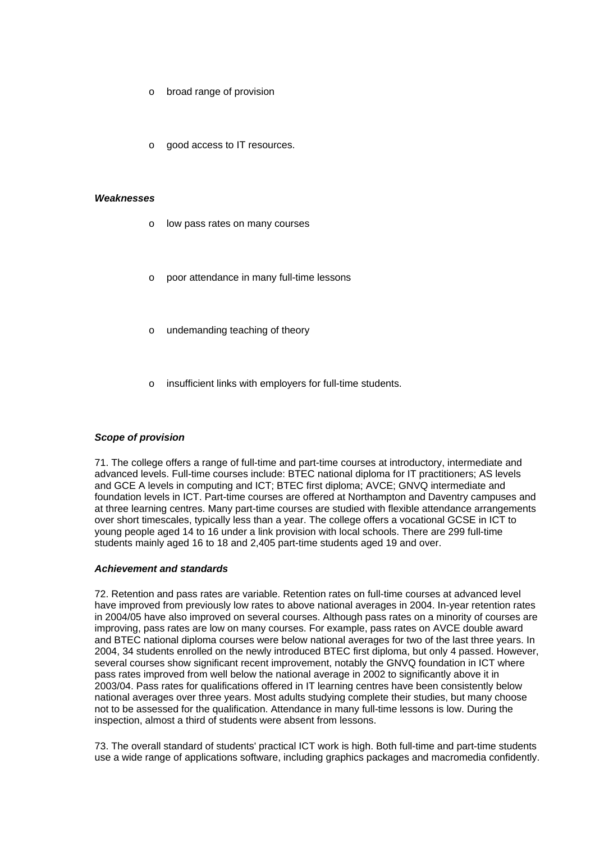- broad range of provision
- good access to IT resources.

#### *Weaknesses*

- o low pass rates on many courses
- poor attendance in many full-time lessons
- undemanding teaching of theory
- insufficient links with employers for full-time students.

#### *Scope of provision*

71. The college offers a range of full-time and part-time courses at introductory, intermediate and advanced levels. Full-time courses include: BTEC national diploma for IT practitioners; AS levels and GCE A levels in computing and ICT; BTEC first diploma; AVCE; GNVQ intermediate and foundation levels in ICT. Part-time courses are offered at Northampton and Daventry campuses and at three learning centres. Many part-time courses are studied with flexible attendance arrangements over short timescales, typically less than a year. The college offers a vocational GCSE in ICT to young people aged 14 to 16 under a link provision with local schools. There are 299 full-time students mainly aged 16 to 18 and 2,405 part-time students aged 19 and over.

## *Achievement and standards*

72. Retention and pass rates are variable. Retention rates on full-time courses at advanced level have improved from previously low rates to above national averages in 2004. In-year retention rates in 2004/05 have also improved on several courses. Although pass rates on a minority of courses are improving, pass rates are low on many courses. For example, pass rates on AVCE double award and BTEC national diploma courses were below national averages for two of the last three years. In 2004, 34 students enrolled on the newly introduced BTEC first diploma, but only 4 passed. However, several courses show significant recent improvement, notably the GNVQ foundation in ICT where pass rates improved from well below the national average in 2002 to significantly above it in 2003/04. Pass rates for qualifications offered in IT learning centres have been consistently below national averages over three years. Most adults studying complete their studies, but many choose not to be assessed for the qualification. Attendance in many full-time lessons is low. During the inspection, almost a third of students were absent from lessons.

73. The overall standard of students' practical ICT work is high. Both full-time and part-time students use a wide range of applications software, including graphics packages and macromedia confidently.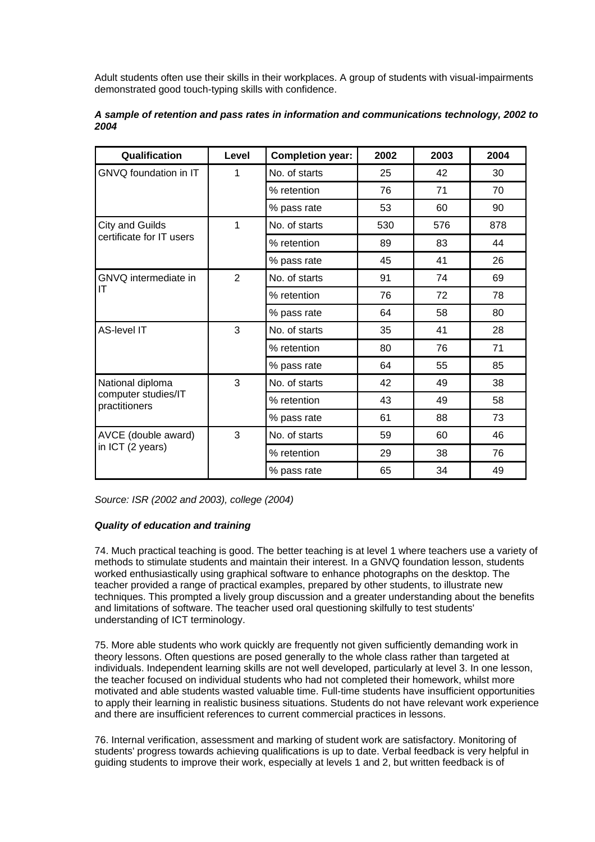Adult students often use their skills in their workplaces. A group of students with visual-impairments demonstrated good touch-typing skills with confidence.

| Qualification                        | Level          | <b>Completion year:</b> | 2002 | 2003 | 2004 |
|--------------------------------------|----------------|-------------------------|------|------|------|
| GNVQ foundation in IT                | 1              | No. of starts           | 25   | 42   | 30   |
|                                      |                | % retention             | 76   | 71   | 70   |
|                                      |                | % pass rate             | 53   | 60   | 90   |
| City and Guilds                      | 1              | No. of starts           | 530  | 576  | 878  |
| certificate for IT users             |                | % retention             | 89   | 83   | 44   |
|                                      |                | % pass rate             | 45   | 41   | 26   |
| GNVQ intermediate in                 | $\overline{2}$ | No. of starts           | 91   | 74   | 69   |
| ΙT                                   |                | % retention             | 76   | 72   | 78   |
|                                      |                | % pass rate             | 64   | 58   | 80   |
| AS-level IT                          | 3              | No. of starts           | 35   | 41   | 28   |
|                                      |                | % retention             | 80   | 76   | 71   |
|                                      |                | % pass rate             | 64   | 55   | 85   |
| National diploma                     | 3              | No. of starts           | 42   | 49   | 38   |
| computer studies/IT<br>practitioners |                | % retention             | 43   | 49   | 58   |
|                                      |                | % pass rate             | 61   | 88   | 73   |
| AVCE (double award)                  | 3              | No. of starts           | 59   | 60   | 46   |
| in ICT (2 years)                     |                | % retention             | 29   | 38   | 76   |
|                                      |                | % pass rate             | 65   | 34   | 49   |

## *A sample of retention and pass rates in information and communications technology, 2002 to 2004*

*Source: ISR (2002 and 2003), college (2004)*

## *Quality of education and training*

74. Much practical teaching is good. The better teaching is at level 1 where teachers use a variety of methods to stimulate students and maintain their interest. In a GNVQ foundation lesson, students worked enthusiastically using graphical software to enhance photographs on the desktop. The teacher provided a range of practical examples, prepared by other students, to illustrate new techniques. This prompted a lively group discussion and a greater understanding about the benefits and limitations of software. The teacher used oral questioning skilfully to test students' understanding of ICT terminology.

75. More able students who work quickly are frequently not given sufficiently demanding work in theory lessons. Often questions are posed generally to the whole class rather than targeted at individuals. Independent learning skills are not well developed, particularly at level 3. In one lesson, the teacher focused on individual students who had not completed their homework, whilst more motivated and able students wasted valuable time. Full-time students have insufficient opportunities to apply their learning in realistic business situations. Students do not have relevant work experience and there are insufficient references to current commercial practices in lessons.

76. Internal verification, assessment and marking of student work are satisfactory. Monitoring of students' progress towards achieving qualifications is up to date. Verbal feedback is very helpful in guiding students to improve their work, especially at levels 1 and 2, but written feedback is of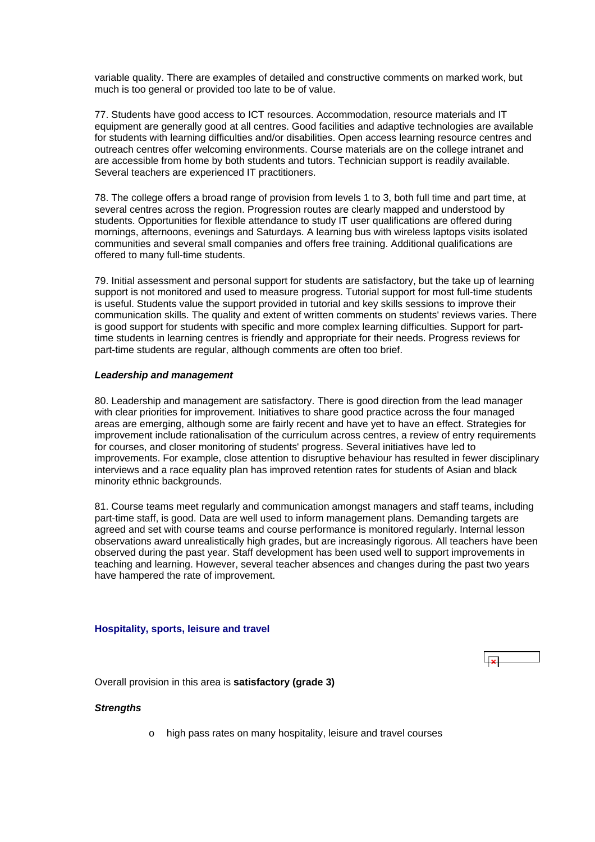<span id="page-23-0"></span>variable quality. There are examples of detailed and constructive comments on marked work, but much is too general or provided too late to be of value.

77. Students have good access to ICT resources. Accommodation, resource materials and IT equipment are generally good at all centres. Good facilities and adaptive technologies are available for students with learning difficulties and/or disabilities. Open access learning resource centres and outreach centres offer welcoming environments. Course materials are on the college intranet and are accessible from home by both students and tutors. Technician support is readily available. Several teachers are experienced IT practitioners.

78. The college offers a broad range of provision from levels 1 to 3, both full time and part time, at several centres across the region. Progression routes are clearly mapped and understood by students. Opportunities for flexible attendance to study IT user qualifications are offered during mornings, afternoons, evenings and Saturdays. A learning bus with wireless laptops visits isolated communities and several small companies and offers free training. Additional qualifications are offered to many full-time students.

79. Initial assessment and personal support for students are satisfactory, but the take up of learning support is not monitored and used to measure progress. Tutorial support for most full-time students is useful. Students value the support provided in tutorial and key skills sessions to improve their communication skills. The quality and extent of written comments on students' reviews varies. There is good support for students with specific and more complex learning difficulties. Support for parttime students in learning centres is friendly and appropriate for their needs. Progress reviews for part-time students are regular, although comments are often too brief.

#### *Leadership and management*

80. Leadership and management are satisfactory. There is good direction from the lead manager with clear priorities for improvement. Initiatives to share good practice across the four managed areas are emerging, although some are fairly recent and have yet to have an effect. Strategies for improvement include rationalisation of the curriculum across centres, a review of entry requirements for courses, and closer monitoring of students' progress. Several initiatives have led to improvements. For example, close attention to disruptive behaviour has resulted in fewer disciplinary interviews and a race equality plan has improved retention rates for students of Asian and black minority ethnic backgrounds.

81. Course teams meet regularly and communication amongst managers and staff teams, including part-time staff, is good. Data are well used to inform management plans. Demanding targets are agreed and set with course teams and course performance is monitored regularly. Internal lesson observations award unrealistically high grades, but are increasingly rigorous. All teachers have been observed during the past year. Staff development has been used well to support improvements in teaching and learning. However, several teacher absences and changes during the past two years have hampered the rate of improvement.

#### **Hospitality, sports, leisure and travel**

Overall provision in this area is **satisfactory (grade 3)**

#### *Strengths*

o high pass rates on many hospitality, leisure and travel courses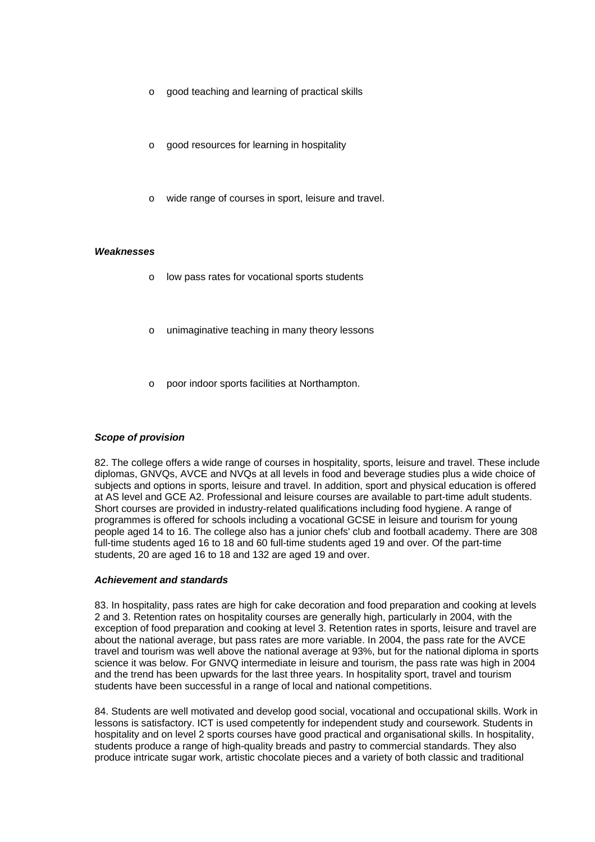- o good teaching and learning of practical skills
- good resources for learning in hospitality
- wide range of courses in sport, leisure and travel.

#### *Weaknesses*

- o low pass rates for vocational sports students
- unimaginative teaching in many theory lessons
- o poor indoor sports facilities at Northampton.

## *Scope of provision*

82. The college offers a wide range of courses in hospitality, sports, leisure and travel. These include diplomas, GNVQs, AVCE and NVQs at all levels in food and beverage studies plus a wide choice of subjects and options in sports, leisure and travel. In addition, sport and physical education is offered at AS level and GCE A2. Professional and leisure courses are available to part-time adult students. Short courses are provided in industry-related qualifications including food hygiene. A range of programmes is offered for schools including a vocational GCSE in leisure and tourism for young people aged 14 to 16. The college also has a junior chefs' club and football academy. There are 308 full-time students aged 16 to 18 and 60 full-time students aged 19 and over. Of the part-time students, 20 are aged 16 to 18 and 132 are aged 19 and over.

#### *Achievement and standards*

83. In hospitality, pass rates are high for cake decoration and food preparation and cooking at levels 2 and 3. Retention rates on hospitality courses are generally high, particularly in 2004, with the exception of food preparation and cooking at level 3. Retention rates in sports, leisure and travel are about the national average, but pass rates are more variable. In 2004, the pass rate for the AVCE travel and tourism was well above the national average at 93%, but for the national diploma in sports science it was below. For GNVQ intermediate in leisure and tourism, the pass rate was high in 2004 and the trend has been upwards for the last three years. In hospitality sport, travel and tourism students have been successful in a range of local and national competitions.

84. Students are well motivated and develop good social, vocational and occupational skills. Work in lessons is satisfactory. ICT is used competently for independent study and coursework. Students in hospitality and on level 2 sports courses have good practical and organisational skills. In hospitality, students produce a range of high-quality breads and pastry to commercial standards. They also produce intricate sugar work, artistic chocolate pieces and a variety of both classic and traditional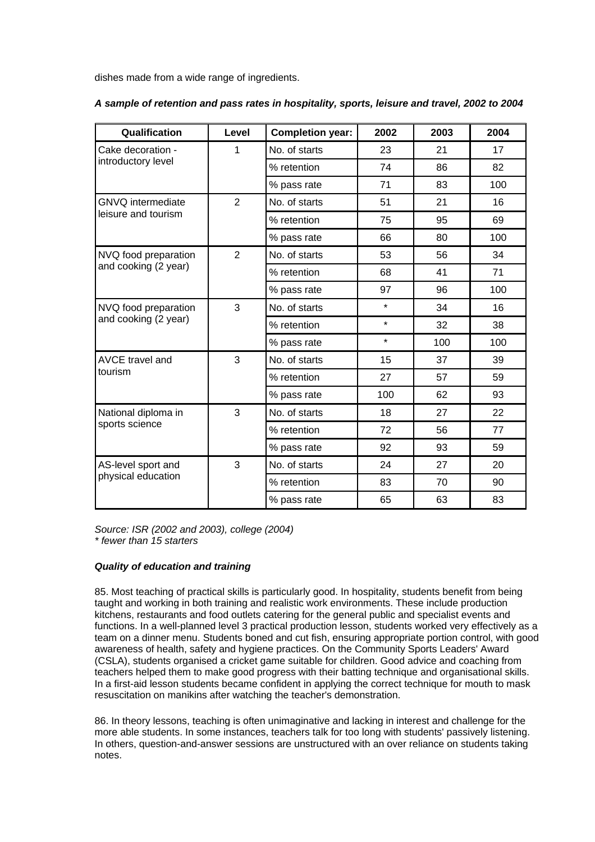dishes made from a wide range of ingredients.

| Qualification                                | Level          | <b>Completion year:</b> | 2002    | 2003 | 2004 |
|----------------------------------------------|----------------|-------------------------|---------|------|------|
| Cake decoration -                            | 1              | No. of starts           | 23      | 21   | 17   |
| introductory level                           |                | % retention             | 74      | 86   | 82   |
|                                              |                | % pass rate             | 71      | 83   | 100  |
| <b>GNVQ</b> intermediate                     | $\overline{2}$ | No. of starts           | 51      | 21   | 16   |
| leisure and tourism                          |                | % retention             | 75      | 95   | 69   |
|                                              |                | % pass rate             | 66      | 80   | 100  |
| NVQ food preparation                         | $\overline{2}$ | No. of starts           | 53      | 56   | 34   |
| and cooking (2 year)                         |                | % retention             | 68      | 41   | 71   |
|                                              |                | % pass rate             | 97      | 96   | 100  |
| NVQ food preparation<br>and cooking (2 year) | 3              | No. of starts           | $\star$ | 34   | 16   |
|                                              |                | % retention             | $\star$ | 32   | 38   |
|                                              |                | % pass rate             | $\star$ | 100  | 100  |
| <b>AVCE travel and</b>                       | 3              | No. of starts           | 15      | 37   | 39   |
| tourism                                      |                | % retention             | 27      | 57   | 59   |
|                                              |                | % pass rate             | 100     | 62   | 93   |
| National diploma in<br>sports science        | 3              | No. of starts           | 18      | 27   | 22   |
|                                              |                | % retention             | 72      | 56   | 77   |
|                                              |                | % pass rate             | 92      | 93   | 59   |
| AS-level sport and                           | 3              | No. of starts           | 24      | 27   | 20   |
| physical education                           |                | % retention             | 83      | 70   | 90   |
|                                              |                | % pass rate             | 65      | 63   | 83   |

*A sample of retention and pass rates in hospitality, sports, leisure and travel, 2002 to 2004*

*Source: ISR (2002 and 2003), college (2004) \* fewer than 15 starters*

## *Quality of education and training*

85. Most teaching of practical skills is particularly good. In hospitality, students benefit from being taught and working in both training and realistic work environments. These include production kitchens, restaurants and food outlets catering for the general public and specialist events and functions. In a well-planned level 3 practical production lesson, students worked very effectively as a team on a dinner menu. Students boned and cut fish, ensuring appropriate portion control, with good awareness of health, safety and hygiene practices. On the Community Sports Leaders' Award (CSLA), students organised a cricket game suitable for children. Good advice and coaching from teachers helped them to make good progress with their batting technique and organisational skills. In a first-aid lesson students became confident in applying the correct technique for mouth to mask resuscitation on manikins after watching the teacher's demonstration.

86. In theory lessons, teaching is often unimaginative and lacking in interest and challenge for the more able students. In some instances, teachers talk for too long with students' passively listening. In others, question-and-answer sessions are unstructured with an over reliance on students taking notes.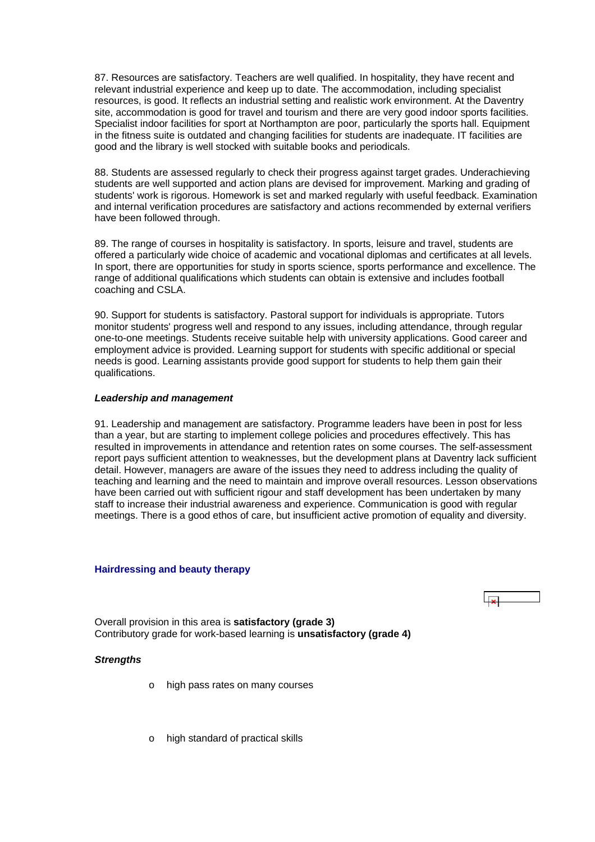<span id="page-26-0"></span>87. Resources are satisfactory. Teachers are well qualified. In hospitality, they have recent and relevant industrial experience and keep up to date. The accommodation, including specialist resources, is good. It reflects an industrial setting and realistic work environment. At the Daventry site, accommodation is good for travel and tourism and there are very good indoor sports facilities. Specialist indoor facilities for sport at Northampton are poor, particularly the sports hall. Equipment in the fitness suite is outdated and changing facilities for students are inadequate. IT facilities are good and the library is well stocked with suitable books and periodicals.

88. Students are assessed regularly to check their progress against target grades. Underachieving students are well supported and action plans are devised for improvement. Marking and grading of students' work is rigorous. Homework is set and marked regularly with useful feedback. Examination and internal verification procedures are satisfactory and actions recommended by external verifiers have been followed through.

89. The range of courses in hospitality is satisfactory. In sports, leisure and travel, students are offered a particularly wide choice of academic and vocational diplomas and certificates at all levels. In sport, there are opportunities for study in sports science, sports performance and excellence. The range of additional qualifications which students can obtain is extensive and includes football coaching and CSLA.

90. Support for students is satisfactory. Pastoral support for individuals is appropriate. Tutors monitor students' progress well and respond to any issues, including attendance, through regular one-to-one meetings. Students receive suitable help with university applications. Good career and employment advice is provided. Learning support for students with specific additional or special needs is good. Learning assistants provide good support for students to help them gain their qualifications.

#### *Leadership and management*

91. Leadership and management are satisfactory. Programme leaders have been in post for less than a year, but are starting to implement college policies and procedures effectively. This has resulted in improvements in attendance and retention rates on some courses. The self-assessment report pays sufficient attention to weaknesses, but the development plans at Daventry lack sufficient detail. However, managers are aware of the issues they need to address including the quality of teaching and learning and the need to maintain and improve overall resources. Lesson observations have been carried out with sufficient rigour and staff development has been undertaken by many staff to increase their industrial awareness and experience. Communication is good with regular meetings. There is a good ethos of care, but insufficient active promotion of equality and diversity.

#### **Hairdressing and beauty therapy**



Overall provision in this area is **satisfactory (grade 3)** Contributory grade for work-based learning is **unsatisfactory (grade 4)**

## *Strengths*

- o high pass rates on many courses
- o high standard of practical skills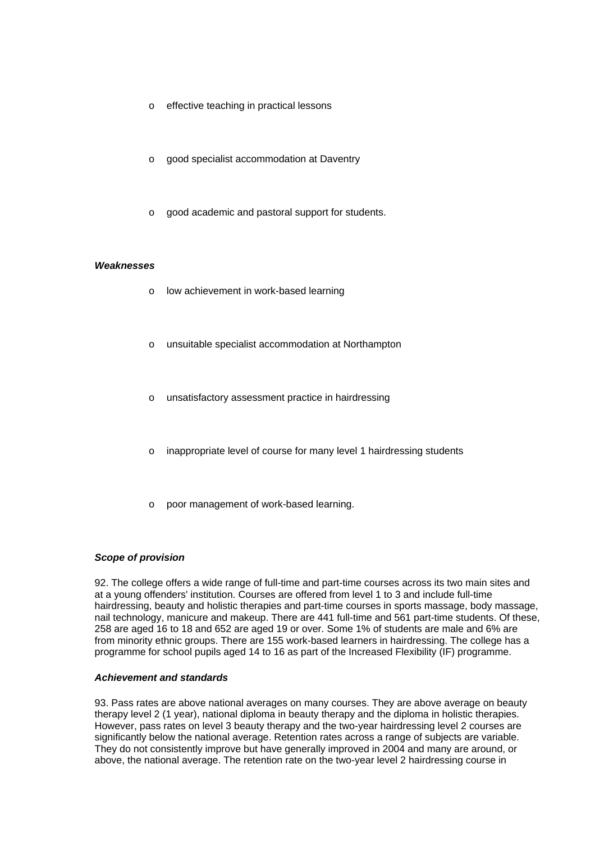- o effective teaching in practical lessons
- o good specialist accommodation at Daventry
- o good academic and pastoral support for students.

#### *Weaknesses*

- o low achievement in work-based learning
- o unsuitable specialist accommodation at Northampton
- unsatisfactory assessment practice in hairdressing
- o inappropriate level of course for many level 1 hairdressing students
- poor management of work-based learning.

#### *Scope of provision*

92. The college offers a wide range of full-time and part-time courses across its two main sites and at a young offenders' institution. Courses are offered from level 1 to 3 and include full-time hairdressing, beauty and holistic therapies and part-time courses in sports massage, body massage, nail technology, manicure and makeup. There are 441 full-time and 561 part-time students. Of these, 258 are aged 16 to 18 and 652 are aged 19 or over. Some 1% of students are male and 6% are from minority ethnic groups. There are 155 work-based learners in hairdressing. The college has a programme for school pupils aged 14 to 16 as part of the Increased Flexibility (IF) programme.

#### *Achievement and standards*

93. Pass rates are above national averages on many courses. They are above average on beauty therapy level 2 (1 year), national diploma in beauty therapy and the diploma in holistic therapies. However, pass rates on level 3 beauty therapy and the two-year hairdressing level 2 courses are significantly below the national average. Retention rates across a range of subjects are variable. They do not consistently improve but have generally improved in 2004 and many are around, or above, the national average. The retention rate on the two-year level 2 hairdressing course in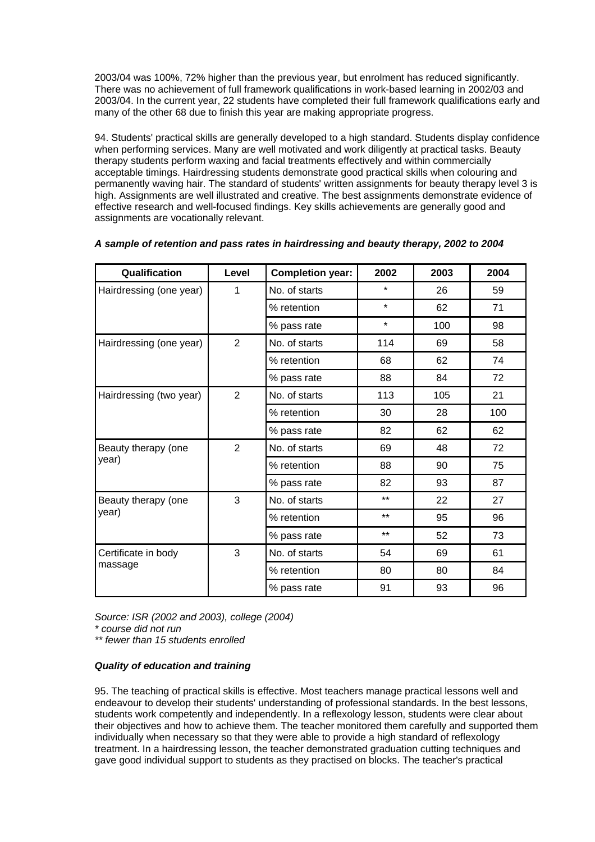2003/04 was 100%, 72% higher than the previous year, but enrolment has reduced significantly. There was no achievement of full framework qualifications in work-based learning in 2002/03 and 2003/04. In the current year, 22 students have completed their full framework qualifications early and many of the other 68 due to finish this year are making appropriate progress.

94. Students' practical skills are generally developed to a high standard. Students display confidence when performing services. Many are well motivated and work diligently at practical tasks. Beauty therapy students perform waxing and facial treatments effectively and within commercially acceptable timings. Hairdressing students demonstrate good practical skills when colouring and permanently waving hair. The standard of students' written assignments for beauty therapy level 3 is high. Assignments are well illustrated and creative. The best assignments demonstrate evidence of effective research and well-focused findings. Key skills achievements are generally good and assignments are vocationally relevant.

| Qualification           | Level          | <b>Completion year:</b> | 2002    | 2003 | 2004 |
|-------------------------|----------------|-------------------------|---------|------|------|
| Hairdressing (one year) | 1              | No. of starts           | $\star$ | 26   | 59   |
|                         |                | % retention             | $\star$ | 62   | 71   |
|                         |                | % pass rate             | $\star$ | 100  | 98   |
| Hairdressing (one year) | 2              | No. of starts           | 114     | 69   | 58   |
|                         |                | % retention             | 68      | 62   | 74   |
|                         |                | % pass rate             | 88      | 84   | 72   |
| Hairdressing (two year) | $\overline{2}$ | No. of starts           | 113     | 105  | 21   |
|                         |                | % retention             | 30      | 28   | 100  |
|                         |                | % pass rate             | 82      | 62   | 62   |
| Beauty therapy (one     | $\overline{2}$ | No. of starts           | 69      | 48   | 72   |
| year)                   |                | % retention             | 88      | 90   | 75   |
|                         |                | % pass rate             | 82      | 93   | 87   |
| Beauty therapy (one     | 3              | No. of starts           | $***$   | 22   | 27   |
| year)                   |                | % retention             | $***$   | 95   | 96   |
|                         |                | % pass rate             | $***$   | 52   | 73   |
| Certificate in body     | 3              | No. of starts           | 54      | 69   | 61   |
| massage                 |                | % retention             | 80      | 80   | 84   |
|                         |                | % pass rate             | 91      | 93   | 96   |

## *A sample of retention and pass rates in hairdressing and beauty therapy, 2002 to 2004*

*Source: ISR (2002 and 2003), college (2004) \* course did not run* 

*\*\* fewer than 15 students enrolled*

## *Quality of education and training*

95. The teaching of practical skills is effective. Most teachers manage practical lessons well and endeavour to develop their students' understanding of professional standards. In the best lessons, students work competently and independently. In a reflexology lesson, students were clear about their objectives and how to achieve them. The teacher monitored them carefully and supported them individually when necessary so that they were able to provide a high standard of reflexology treatment. In a hairdressing lesson, the teacher demonstrated graduation cutting techniques and gave good individual support to students as they practised on blocks. The teacher's practical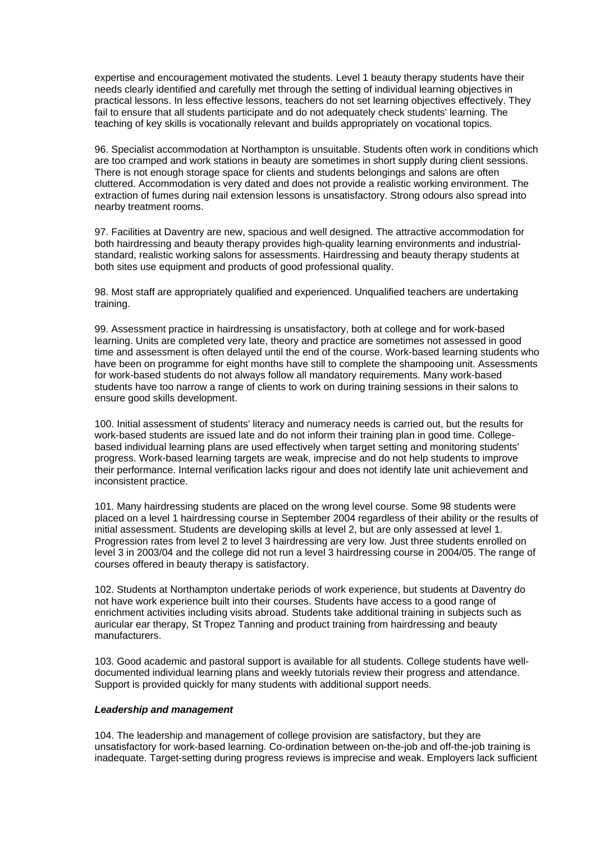expertise and encouragement motivated the students. Level 1 beauty therapy students have their needs clearly identified and carefully met through the setting of individual learning objectives in practical lessons. In less effective lessons, teachers do not set learning objectives effectively. They fail to ensure that all students participate and do not adequately check students' learning. The teaching of key skills is vocationally relevant and builds appropriately on vocational topics.

96. Specialist accommodation at Northampton is unsuitable. Students often work in conditions which are too cramped and work stations in beauty are sometimes in short supply during client sessions. There is not enough storage space for clients and students belongings and salons are often cluttered. Accommodation is very dated and does not provide a realistic working environment. The extraction of fumes during nail extension lessons is unsatisfactory. Strong odours also spread into nearby treatment rooms.

97. Facilities at Daventry are new, spacious and well designed. The attractive accommodation for both hairdressing and beauty therapy provides high-quality learning environments and industrialstandard, realistic working salons for assessments. Hairdressing and beauty therapy students at both sites use equipment and products of good professional quality.

98. Most staff are appropriately qualified and experienced. Unqualified teachers are undertaking training.

99. Assessment practice in hairdressing is unsatisfactory, both at college and for work-based learning. Units are completed very late, theory and practice are sometimes not assessed in good time and assessment is often delayed until the end of the course. Work-based learning students who have been on programme for eight months have still to complete the shampooing unit. Assessments for work-based students do not always follow all mandatory requirements. Many work-based students have too narrow a range of clients to work on during training sessions in their salons to ensure good skills development.

100. Initial assessment of students' literacy and numeracy needs is carried out, but the results for work-based students are issued late and do not inform their training plan in good time. Collegebased individual learning plans are used effectively when target setting and monitoring students' progress. Work-based learning targets are weak, imprecise and do not help students to improve their performance. Internal verification lacks rigour and does not identify late unit achievement and inconsistent practice.

101. Many hairdressing students are placed on the wrong level course. Some 98 students were placed on a level 1 hairdressing course in September 2004 regardless of their ability or the results of initial assessment. Students are developing skills at level 2, but are only assessed at level 1. Progression rates from level 2 to level 3 hairdressing are very low. Just three students enrolled on level 3 in 2003/04 and the college did not run a level 3 hairdressing course in 2004/05. The range of courses offered in beauty therapy is satisfactory.

102. Students at Northampton undertake periods of work experience, but students at Daventry do not have work experience built into their courses. Students have access to a good range of enrichment activities including visits abroad. Students take additional training in subjects such as auricular ear therapy, St Tropez Tanning and product training from hairdressing and beauty manufacturers.

103. Good academic and pastoral support is available for all students. College students have welldocumented individual learning plans and weekly tutorials review their progress and attendance. Support is provided quickly for many students with additional support needs.

#### *Leadership and management*

104. The leadership and management of college provision are satisfactory, but they are unsatisfactory for work-based learning. Co-ordination between on-the-job and off-the-job training is inadequate. Target-setting during progress reviews is imprecise and weak. Employers lack sufficient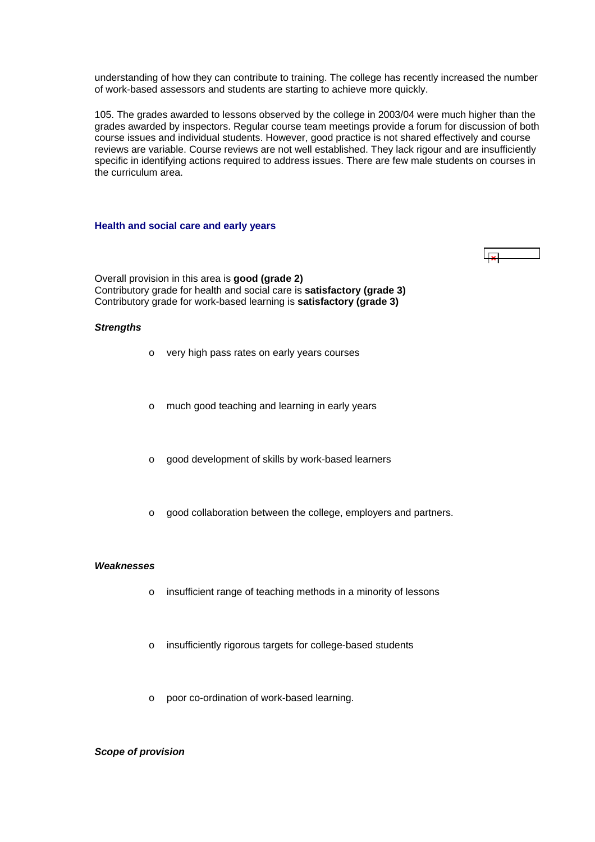<span id="page-30-0"></span>understanding of how they can contribute to training. The college has recently increased the number of work-based assessors and students are starting to achieve more quickly.

105. The grades awarded to lessons observed by the college in 2003/04 were much higher than the grades awarded by inspectors. Regular course team meetings provide a forum for discussion of both course issues and individual students. However, good practice is not shared effectively and course reviews are variable. Course reviews are not well established. They lack rigour and are insufficiently specific in identifying actions required to address issues. There are few male students on courses in the curriculum area.

#### **Health and social care and early years**

 $\overline{\mathbf{r}}$ 

Overall provision in this area is **good (grade 2)** Contributory grade for health and social care is **satisfactory (grade 3)** Contributory grade for work-based learning is **satisfactory (grade 3)**

#### *Strengths*

- o very high pass rates on early years courses
- o much good teaching and learning in early years
- o good development of skills by work-based learners
- o good collaboration between the college, employers and partners.

#### *Weaknesses*

- o insufficient range of teaching methods in a minority of lessons
- o insufficiently rigorous targets for college-based students
- o poor co-ordination of work-based learning.

#### *Scope of provision*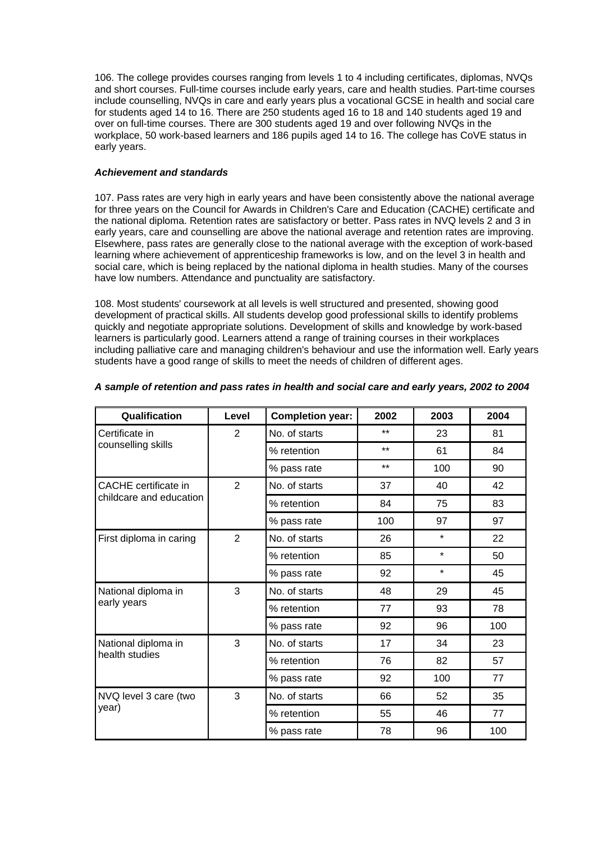106. The college provides courses ranging from levels 1 to 4 including certificates, diplomas, NVQs and short courses. Full-time courses include early years, care and health studies. Part-time courses include counselling, NVQs in care and early years plus a vocational GCSE in health and social care for students aged 14 to 16. There are 250 students aged 16 to 18 and 140 students aged 19 and over on full-time courses. There are 300 students aged 19 and over following NVQs in the workplace, 50 work-based learners and 186 pupils aged 14 to 16. The college has CoVE status in early years.

## *Achievement and standards*

107. Pass rates are very high in early years and have been consistently above the national average for three years on the Council for Awards in Children's Care and Education (CACHE) certificate and the national diploma. Retention rates are satisfactory or better. Pass rates in NVQ levels 2 and 3 in early years, care and counselling are above the national average and retention rates are improving. Elsewhere, pass rates are generally close to the national average with the exception of work-based learning where achievement of apprenticeship frameworks is low, and on the level 3 in health and social care, which is being replaced by the national diploma in health studies. Many of the courses have low numbers. Attendance and punctuality are satisfactory.

108. Most students' coursework at all levels is well structured and presented, showing good development of practical skills. All students develop good professional skills to identify problems quickly and negotiate appropriate solutions. Development of skills and knowledge by work-based learners is particularly good. Learners attend a range of training courses in their workplaces including palliative care and managing children's behaviour and use the information well. Early years students have a good range of skills to meet the needs of children of different ages.

| Qualification           | Level          | <b>Completion year:</b> | 2002  | 2003    | 2004 |
|-------------------------|----------------|-------------------------|-------|---------|------|
| Certificate in          | 2              | No. of starts           | $***$ | 23      | 81   |
| counselling skills      |                | % retention             | $***$ | 61      | 84   |
|                         |                | % pass rate             | $***$ | 100     | 90   |
| CACHE certificate in    | $\overline{2}$ | No. of starts           | 37    | 40      | 42   |
| childcare and education |                | % retention             | 84    | 75      | 83   |
|                         |                | % pass rate             | 100   | 97      | 97   |
| First diploma in caring | $\overline{2}$ | No. of starts           | 26    | $\star$ | 22   |
|                         |                | % retention             | 85    | $\star$ | 50   |
|                         |                | % pass rate             | 92    | $\star$ | 45   |
| National diploma in     | 3              | No. of starts           | 48    | 29      | 45   |
| early years             |                | % retention             | 77    | 93      | 78   |
|                         |                | % pass rate             | 92    | 96      | 100  |
| National diploma in     | 3              | No. of starts           | 17    | 34      | 23   |
| health studies          |                | % retention             | 76    | 82      | 57   |
|                         |                | % pass rate             | 92    | 100     | 77   |
| NVQ level 3 care (two   | 3              | No. of starts           | 66    | 52      | 35   |
| year)                   |                | % retention             | 55    | 46      | 77   |
|                         |                | % pass rate             | 78    | 96      | 100  |

## *A sample of retention and pass rates in health and social care and early years, 2002 to 2004*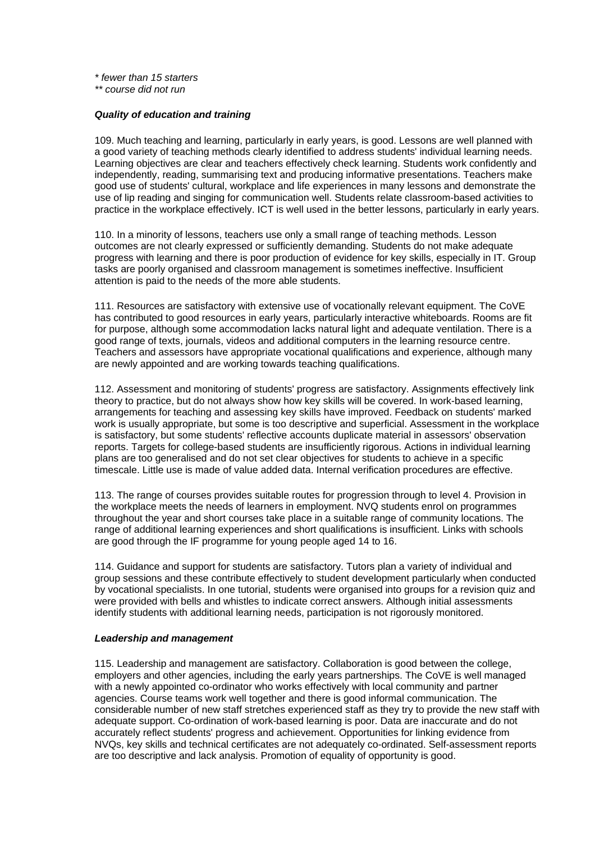*\* fewer than 15 starters* 

*\*\* course did not run*

#### *Quality of education and training*

109. Much teaching and learning, particularly in early years, is good. Lessons are well planned with a good variety of teaching methods clearly identified to address students' individual learning needs. Learning objectives are clear and teachers effectively check learning. Students work confidently and independently, reading, summarising text and producing informative presentations. Teachers make good use of students' cultural, workplace and life experiences in many lessons and demonstrate the use of lip reading and singing for communication well. Students relate classroom-based activities to practice in the workplace effectively. ICT is well used in the better lessons, particularly in early years.

110. In a minority of lessons, teachers use only a small range of teaching methods. Lesson outcomes are not clearly expressed or sufficiently demanding. Students do not make adequate progress with learning and there is poor production of evidence for key skills, especially in IT. Group tasks are poorly organised and classroom management is sometimes ineffective. Insufficient attention is paid to the needs of the more able students.

111. Resources are satisfactory with extensive use of vocationally relevant equipment. The CoVE has contributed to good resources in early years, particularly interactive whiteboards. Rooms are fit for purpose, although some accommodation lacks natural light and adequate ventilation. There is a good range of texts, journals, videos and additional computers in the learning resource centre. Teachers and assessors have appropriate vocational qualifications and experience, although many are newly appointed and are working towards teaching qualifications.

112. Assessment and monitoring of students' progress are satisfactory. Assignments effectively link theory to practice, but do not always show how key skills will be covered. In work-based learning, arrangements for teaching and assessing key skills have improved. Feedback on students' marked work is usually appropriate, but some is too descriptive and superficial. Assessment in the workplace is satisfactory, but some students' reflective accounts duplicate material in assessors' observation reports. Targets for college-based students are insufficiently rigorous. Actions in individual learning plans are too generalised and do not set clear objectives for students to achieve in a specific timescale. Little use is made of value added data. Internal verification procedures are effective.

113. The range of courses provides suitable routes for progression through to level 4. Provision in the workplace meets the needs of learners in employment. NVQ students enrol on programmes throughout the year and short courses take place in a suitable range of community locations. The range of additional learning experiences and short qualifications is insufficient. Links with schools are good through the IF programme for young people aged 14 to 16.

114. Guidance and support for students are satisfactory. Tutors plan a variety of individual and group sessions and these contribute effectively to student development particularly when conducted by vocational specialists. In one tutorial, students were organised into groups for a revision quiz and were provided with bells and whistles to indicate correct answers. Although initial assessments identify students with additional learning needs, participation is not rigorously monitored.

#### *Leadership and management*

115. Leadership and management are satisfactory. Collaboration is good between the college, employers and other agencies, including the early years partnerships. The CoVE is well managed with a newly appointed co-ordinator who works effectively with local community and partner agencies. Course teams work well together and there is good informal communication. The considerable number of new staff stretches experienced staff as they try to provide the new staff with adequate support. Co-ordination of work-based learning is poor. Data are inaccurate and do not accurately reflect students' progress and achievement. Opportunities for linking evidence from NVQs, key skills and technical certificates are not adequately co-ordinated. Self-assessment reports are too descriptive and lack analysis. Promotion of equality of opportunity is good.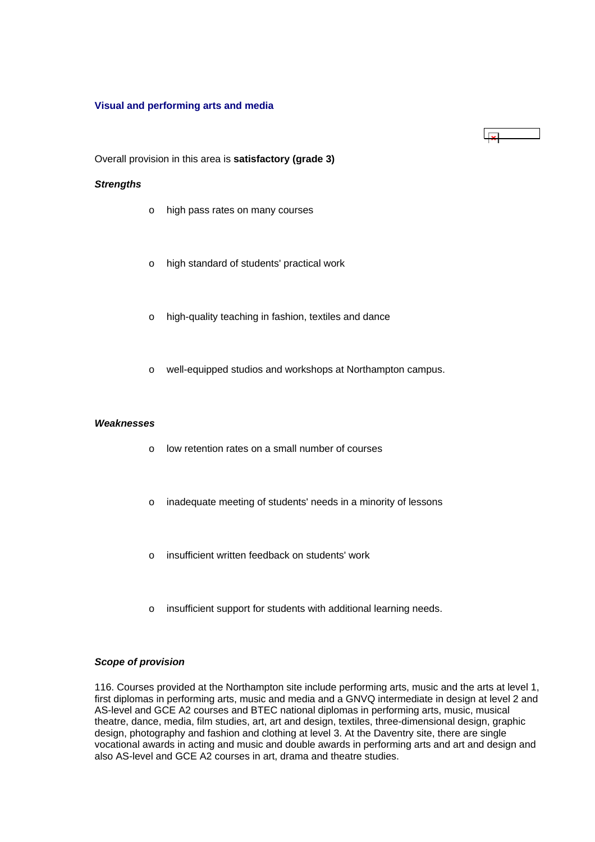#### <span id="page-33-0"></span>**Visual and performing arts and media**

Overall provision in this area is **satisfactory (grade 3)**

#### *Strengths*

- o high pass rates on many courses
- o high standard of students' practical work
- o high-quality teaching in fashion, textiles and dance
- o well-equipped studios and workshops at Northampton campus.

 $\mathbf{r}$ 

#### *Weaknesses*

- o low retention rates on a small number of courses
- o inadequate meeting of students' needs in a minority of lessons
- o insufficient written feedback on students' work
- o insufficient support for students with additional learning needs.

#### *Scope of provision*

116. Courses provided at the Northampton site include performing arts, music and the arts at level 1, first diplomas in performing arts, music and media and a GNVQ intermediate in design at level 2 and AS-level and GCE A2 courses and BTEC national diplomas in performing arts, music, musical theatre, dance, media, film studies, art, art and design, textiles, three-dimensional design, graphic design, photography and fashion and clothing at level 3. At the Daventry site, there are single vocational awards in acting and music and double awards in performing arts and art and design and also AS-level and GCE A2 courses in art, drama and theatre studies.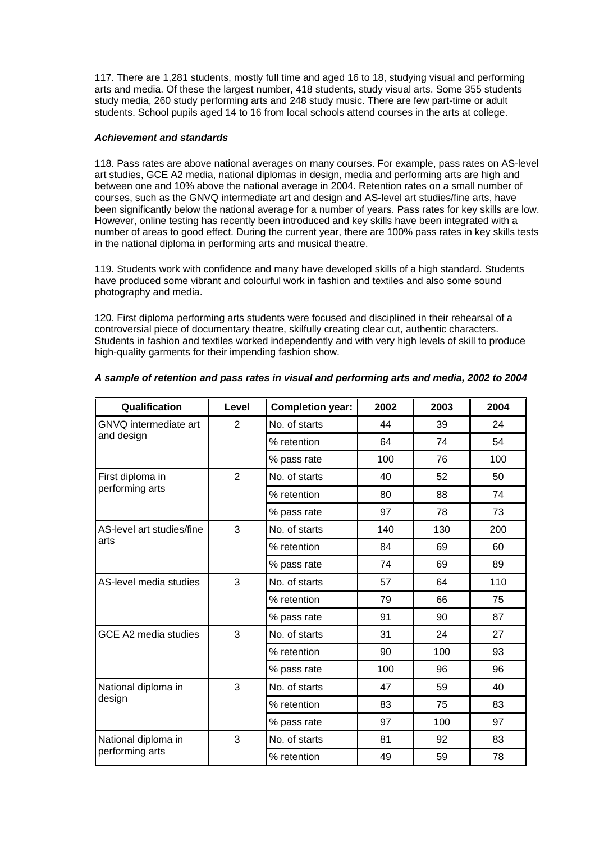117. There are 1,281 students, mostly full time and aged 16 to 18, studying visual and performing arts and media. Of these the largest number, 418 students, study visual arts. Some 355 students study media, 260 study performing arts and 248 study music. There are few part-time or adult students. School pupils aged 14 to 16 from local schools attend courses in the arts at college.

#### *Achievement and standards*

118. Pass rates are above national averages on many courses. For example, pass rates on AS-level art studies, GCE A2 media, national diplomas in design, media and performing arts are high and between one and 10% above the national average in 2004. Retention rates on a small number of courses, such as the GNVQ intermediate art and design and AS-level art studies/fine arts, have been significantly below the national average for a number of years. Pass rates for key skills are low. However, online testing has recently been introduced and key skills have been integrated with a number of areas to good effect. During the current year, there are 100% pass rates in key skills tests in the national diploma in performing arts and musical theatre.

119. Students work with confidence and many have developed skills of a high standard. Students have produced some vibrant and colourful work in fashion and textiles and also some sound photography and media.

120. First diploma performing arts students were focused and disciplined in their rehearsal of a controversial piece of documentary theatre, skilfully creating clear cut, authentic characters. Students in fashion and textiles worked independently and with very high levels of skill to produce high-quality garments for their impending fashion show.

| Qualification             | Level          | <b>Completion year:</b> | 2002 | 2003 | 2004 |
|---------------------------|----------------|-------------------------|------|------|------|
| GNVQ intermediate art     | $\overline{2}$ | No. of starts           | 44   | 39   | 24   |
| and design                |                | % retention             | 64   | 74   | 54   |
|                           |                | % pass rate             | 100  | 76   | 100  |
| First diploma in          | $\overline{2}$ | No. of starts           | 40   | 52   | 50   |
| performing arts           |                | % retention             | 80   | 88   | 74   |
|                           |                | % pass rate             | 97   | 78   | 73   |
| AS-level art studies/fine | 3              | No. of starts           | 140  | 130  | 200  |
| arts                      |                | % retention             | 84   | 69   | 60   |
|                           |                | % pass rate             | 74   | 69   | 89   |
| AS-level media studies    | 3              | No. of starts           | 57   | 64   | 110  |
|                           |                | % retention             | 79   | 66   | 75   |
|                           |                | % pass rate             | 91   | 90   | 87   |
| GCE A2 media studies      | 3              | No. of starts           | 31   | 24   | 27   |
|                           |                | % retention             | 90   | 100  | 93   |
|                           |                | % pass rate             | 100  | 96   | 96   |
| National diploma in       | 3              | No. of starts           | 47   | 59   | 40   |
| design                    |                | % retention             | 83   | 75   | 83   |
|                           |                | % pass rate             | 97   | 100  | 97   |
| National diploma in       | 3              | No. of starts           | 81   | 92   | 83   |
| performing arts           |                | % retention             | 49   | 59   | 78   |

## *A sample of retention and pass rates in visual and performing arts and media, 2002 to 2004*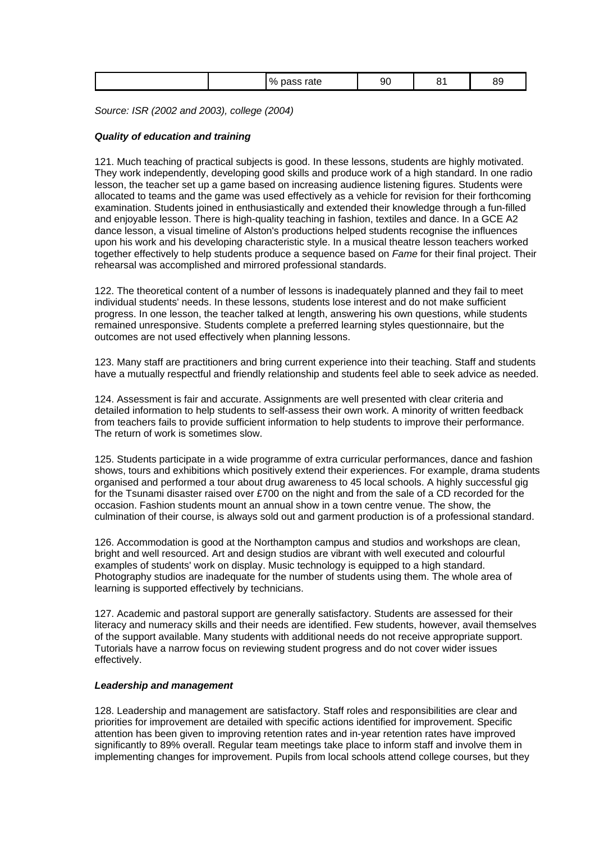| $\frac{1}{2}$<br>90<br>$\sim$<br>-<br>alt<br>ບເ<br>∼<br>- -<br>- - |
|--------------------------------------------------------------------|
|--------------------------------------------------------------------|

*Source: ISR (2002 and 2003), college (2004)*

## *Quality of education and training*

121. Much teaching of practical subjects is good. In these lessons, students are highly motivated. They work independently, developing good skills and produce work of a high standard. In one radio lesson, the teacher set up a game based on increasing audience listening figures. Students were allocated to teams and the game was used effectively as a vehicle for revision for their forthcoming examination. Students joined in enthusiastically and extended their knowledge through a fun-filled and enjoyable lesson. There is high-quality teaching in fashion, textiles and dance. In a GCE A2 dance lesson, a visual timeline of Alston's productions helped students recognise the influences upon his work and his developing characteristic style. In a musical theatre lesson teachers worked together effectively to help students produce a sequence based on *Fame* for their final project. Their rehearsal was accomplished and mirrored professional standards.

122. The theoretical content of a number of lessons is inadequately planned and they fail to meet individual students' needs. In these lessons, students lose interest and do not make sufficient progress. In one lesson, the teacher talked at length, answering his own questions, while students remained unresponsive. Students complete a preferred learning styles questionnaire, but the outcomes are not used effectively when planning lessons.

123. Many staff are practitioners and bring current experience into their teaching. Staff and students have a mutually respectful and friendly relationship and students feel able to seek advice as needed.

124. Assessment is fair and accurate. Assignments are well presented with clear criteria and detailed information to help students to self-assess their own work. A minority of written feedback from teachers fails to provide sufficient information to help students to improve their performance. The return of work is sometimes slow.

125. Students participate in a wide programme of extra curricular performances, dance and fashion shows, tours and exhibitions which positively extend their experiences. For example, drama students organised and performed a tour about drug awareness to 45 local schools. A highly successful gig for the Tsunami disaster raised over £700 on the night and from the sale of a CD recorded for the occasion. Fashion students mount an annual show in a town centre venue. The show, the culmination of their course, is always sold out and garment production is of a professional standard.

126. Accommodation is good at the Northampton campus and studios and workshops are clean, bright and well resourced. Art and design studios are vibrant with well executed and colourful examples of students' work on display. Music technology is equipped to a high standard. Photography studios are inadequate for the number of students using them. The whole area of learning is supported effectively by technicians.

127. Academic and pastoral support are generally satisfactory. Students are assessed for their literacy and numeracy skills and their needs are identified. Few students, however, avail themselves of the support available. Many students with additional needs do not receive appropriate support. Tutorials have a narrow focus on reviewing student progress and do not cover wider issues effectively.

#### *Leadership and management*

128. Leadership and management are satisfactory. Staff roles and responsibilities are clear and priorities for improvement are detailed with specific actions identified for improvement. Specific attention has been given to improving retention rates and in-year retention rates have improved significantly to 89% overall. Regular team meetings take place to inform staff and involve them in implementing changes for improvement. Pupils from local schools attend college courses, but they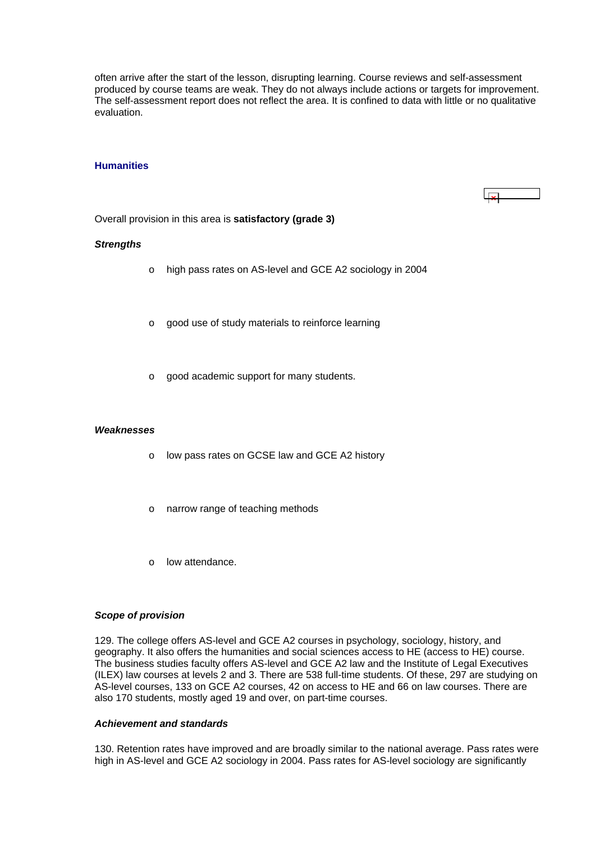<span id="page-36-0"></span>often arrive after the start of the lesson, disrupting learning. Course reviews and self-assessment produced by course teams are weak. They do not always include actions or targets for improvement. The self-assessment report does not reflect the area. It is confined to data with little or no qualitative evaluation.

#### **Humanities**

Overall provision in this area is **satisfactory (grade 3)**

#### *Strengths*

- o high pass rates on AS-level and GCE A2 sociology in 2004
- o good use of study materials to reinforce learning
- o good academic support for many students.

#### *Weaknesses*

- o low pass rates on GCSE law and GCE A2 history
- o narrow range of teaching methods
- o low attendance.

#### *Scope of provision*

129. The college offers AS-level and GCE A2 courses in psychology, sociology, history, and geography. It also offers the humanities and social sciences access to HE (access to HE) course. The business studies faculty offers AS-level and GCE A2 law and the Institute of Legal Executives (ILEX) law courses at levels 2 and 3. There are 538 full-time students. Of these, 297 are studying on AS-level courses, 133 on GCE A2 courses, 42 on access to HE and 66 on law courses. There are also 170 students, mostly aged 19 and over, on part-time courses.

#### *Achievement and standards*

130. Retention rates have improved and are broadly similar to the national average. Pass rates were high in AS-level and GCE A2 sociology in 2004. Pass rates for AS-level sociology are significantly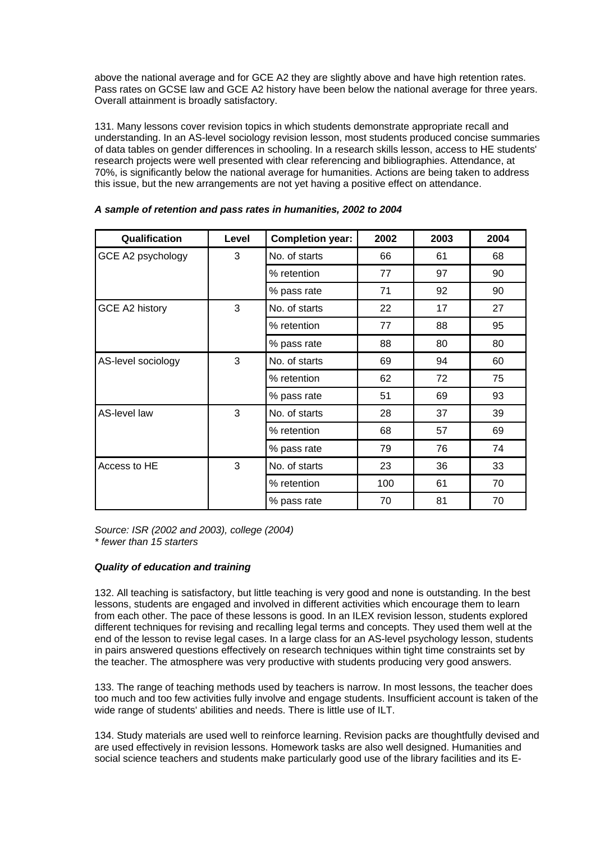above the national average and for GCE A2 they are slightly above and have high retention rates. Pass rates on GCSE law and GCE A2 history have been below the national average for three years. Overall attainment is broadly satisfactory.

131. Many lessons cover revision topics in which students demonstrate appropriate recall and understanding. In an AS-level sociology revision lesson, most students produced concise summaries of data tables on gender differences in schooling. In a research skills lesson, access to HE students' research projects were well presented with clear referencing and bibliographies. Attendance, at 70%, is significantly below the national average for humanities. Actions are being taken to address this issue, but the new arrangements are not yet having a positive effect on attendance.

| Qualification      | Level | <b>Completion year:</b> | 2002 | 2003 | 2004 |
|--------------------|-------|-------------------------|------|------|------|
| GCE A2 psychology  | 3     | No. of starts           | 66   | 61   | 68   |
|                    |       | % retention             | 77   | 97   | 90   |
|                    |       | % pass rate             | 71   | 92   | 90   |
| GCE A2 history     | 3     | No. of starts           | 22   | 17   | 27   |
|                    |       | % retention             | 77   | 88   | 95   |
|                    |       | % pass rate             | 88   | 80   | 80   |
| AS-level sociology | 3     | No. of starts           | 69   | 94   | 60   |
|                    |       | % retention             | 62   | 72   | 75   |
|                    |       | % pass rate             | 51   | 69   | 93   |
| AS-level law       | 3     | No. of starts           | 28   | 37   | 39   |
|                    |       | % retention             | 68   | 57   | 69   |
|                    |       | % pass rate             | 79   | 76   | 74   |
| Access to HE       | 3     | No. of starts           | 23   | 36   | 33   |
|                    |       | % retention             | 100  | 61   | 70   |
|                    |       | % pass rate             | 70   | 81   | 70   |

## *A sample of retention and pass rates in humanities, 2002 to 2004*

*Source: ISR (2002 and 2003), college (2004) \* fewer than 15 starters*

## *Quality of education and training*

132. All teaching is satisfactory, but little teaching is very good and none is outstanding. In the best lessons, students are engaged and involved in different activities which encourage them to learn from each other. The pace of these lessons is good. In an ILEX revision lesson, students explored different techniques for revising and recalling legal terms and concepts. They used them well at the end of the lesson to revise legal cases. In a large class for an AS-level psychology lesson, students in pairs answered questions effectively on research techniques within tight time constraints set by the teacher. The atmosphere was very productive with students producing very good answers.

133. The range of teaching methods used by teachers is narrow. In most lessons, the teacher does too much and too few activities fully involve and engage students. Insufficient account is taken of the wide range of students' abilities and needs. There is little use of ILT.

134. Study materials are used well to reinforce learning. Revision packs are thoughtfully devised and are used effectively in revision lessons. Homework tasks are also well designed. Humanities and social science teachers and students make particularly good use of the library facilities and its E-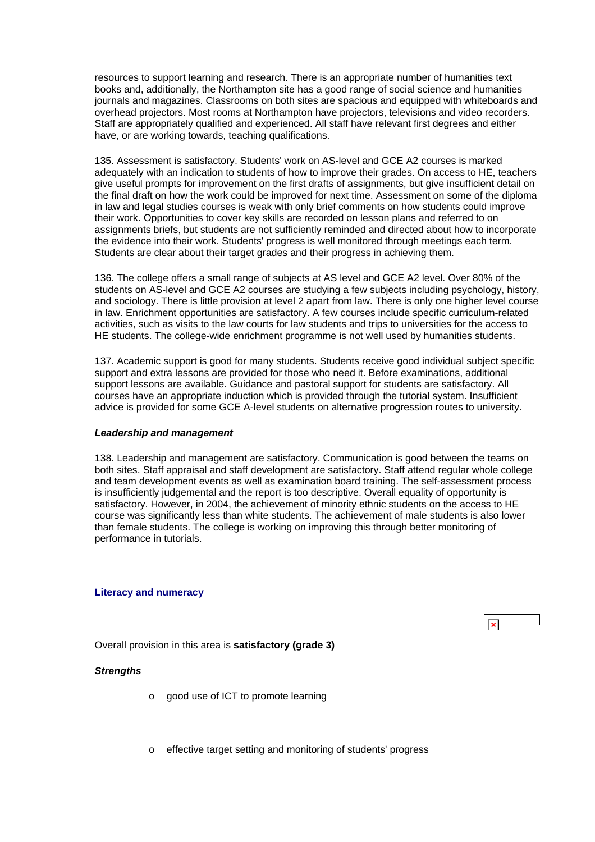<span id="page-38-0"></span>resources to support learning and research. There is an appropriate number of humanities text books and, additionally, the Northampton site has a good range of social science and humanities journals and magazines. Classrooms on both sites are spacious and equipped with whiteboards and overhead projectors. Most rooms at Northampton have projectors, televisions and video recorders. Staff are appropriately qualified and experienced. All staff have relevant first degrees and either have, or are working towards, teaching qualifications.

135. Assessment is satisfactory. Students' work on AS-level and GCE A2 courses is marked adequately with an indication to students of how to improve their grades. On access to HE, teachers give useful prompts for improvement on the first drafts of assignments, but give insufficient detail on the final draft on how the work could be improved for next time. Assessment on some of the diploma in law and legal studies courses is weak with only brief comments on how students could improve their work. Opportunities to cover key skills are recorded on lesson plans and referred to on assignments briefs, but students are not sufficiently reminded and directed about how to incorporate the evidence into their work. Students' progress is well monitored through meetings each term. Students are clear about their target grades and their progress in achieving them.

136. The college offers a small range of subjects at AS level and GCE A2 level. Over 80% of the students on AS-level and GCE A2 courses are studying a few subjects including psychology, history, and sociology. There is little provision at level 2 apart from law. There is only one higher level course in law. Enrichment opportunities are satisfactory. A few courses include specific curriculum-related activities, such as visits to the law courts for law students and trips to universities for the access to HE students. The college-wide enrichment programme is not well used by humanities students.

137. Academic support is good for many students. Students receive good individual subject specific support and extra lessons are provided for those who need it. Before examinations, additional support lessons are available. Guidance and pastoral support for students are satisfactory. All courses have an appropriate induction which is provided through the tutorial system. Insufficient advice is provided for some GCE A-level students on alternative progression routes to university.

#### *Leadership and management*

138. Leadership and management are satisfactory. Communication is good between the teams on both sites. Staff appraisal and staff development are satisfactory. Staff attend regular whole college and team development events as well as examination board training. The self-assessment process is insufficiently judgemental and the report is too descriptive. Overall equality of opportunity is satisfactory. However, in 2004, the achievement of minority ethnic students on the access to HE course was significantly less than white students. The achievement of male students is also lower than female students. The college is working on improving this through better monitoring of performance in tutorials.

## **Literacy and numeracy**



Overall provision in this area is **satisfactory (grade 3)**

## *Strengths*

- o good use of ICT to promote learning
- o effective target setting and monitoring of students' progress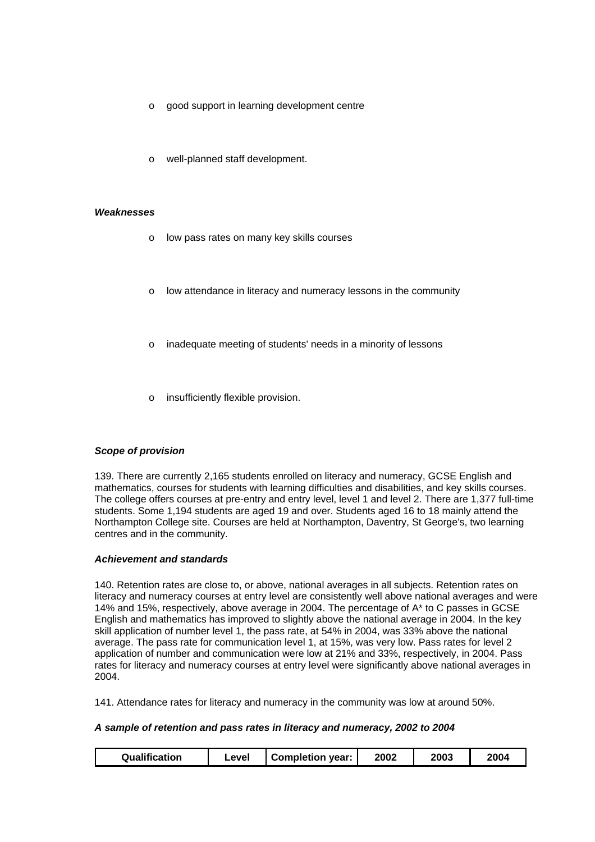- o good support in learning development centre
- o well-planned staff development.

#### *Weaknesses*

- o low pass rates on many key skills courses
- o low attendance in literacy and numeracy lessons in the community
- o inadequate meeting of students' needs in a minority of lessons
- insufficiently flexible provision.

#### *Scope of provision*

139. There are currently 2,165 students enrolled on literacy and numeracy, GCSE English and mathematics, courses for students with learning difficulties and disabilities, and key skills courses. The college offers courses at pre-entry and entry level, level 1 and level 2. There are 1,377 full-time students. Some 1,194 students are aged 19 and over. Students aged 16 to 18 mainly attend the Northampton College site. Courses are held at Northampton, Daventry, St George's, two learning centres and in the community.

#### *Achievement and standards*

140. Retention rates are close to, or above, national averages in all subjects. Retention rates on literacy and numeracy courses at entry level are consistently well above national averages and were 14% and 15%, respectively, above average in 2004. The percentage of A\* to C passes in GCSE English and mathematics has improved to slightly above the national average in 2004. In the key skill application of number level 1, the pass rate, at 54% in 2004, was 33% above the national average. The pass rate for communication level 1, at 15%, was very low. Pass rates for level 2 application of number and communication were low at 21% and 33%, respectively, in 2004. Pass rates for literacy and numeracy courses at entry level were significantly above national averages in 2004.

141. Attendance rates for literacy and numeracy in the community was low at around 50%.

#### *A sample of retention and pass rates in literacy and numeracy, 2002 to 2004*

| Qualification | _evel | <b>Completion year:</b> | 2002 | 2003 | 2004 |
|---------------|-------|-------------------------|------|------|------|
|---------------|-------|-------------------------|------|------|------|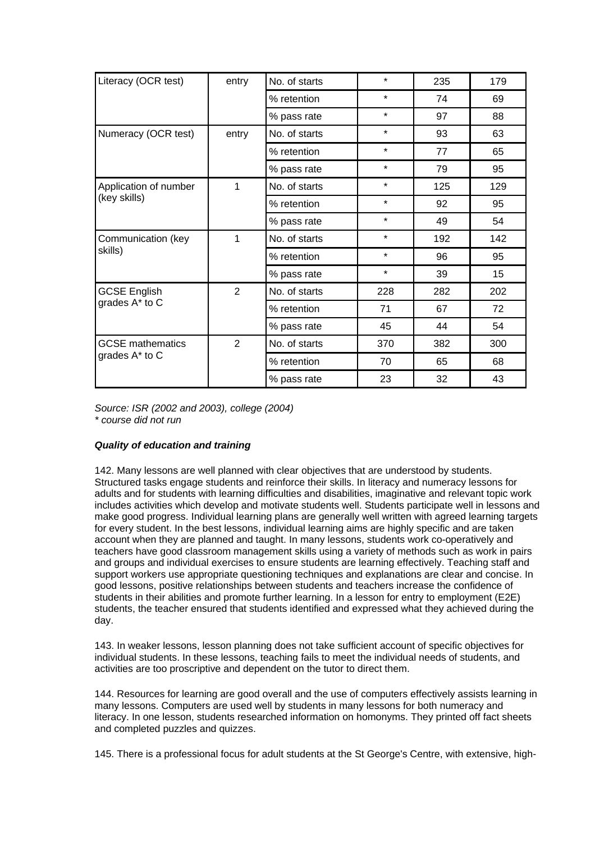| Literacy (OCR test)     | entry          | No. of starts | $\star$ | 235 | 179 |
|-------------------------|----------------|---------------|---------|-----|-----|
|                         |                | % retention   | $\star$ | 74  | 69  |
|                         |                | % pass rate   | $\star$ | 97  | 88  |
| Numeracy (OCR test)     | entry          | No. of starts | $\star$ | 93  | 63  |
|                         |                | % retention   | $\star$ | 77  | 65  |
|                         |                | % pass rate   | $\star$ | 79  | 95  |
| Application of number   | 1              | No. of starts | $\star$ | 125 | 129 |
| (key skills)            |                | % retention   | $\star$ | 92  | 95  |
|                         |                | % pass rate   | $\star$ | 49  | 54  |
| Communication (key      | 1              | No. of starts | $\star$ | 192 | 142 |
| skills)                 |                | % retention   | $\star$ | 96  | 95  |
|                         |                | % pass rate   | $\star$ | 39  | 15  |
| <b>GCSE English</b>     | $\overline{2}$ | No. of starts | 228     | 282 | 202 |
| grades A* to C          |                | % retention   | 71      | 67  | 72  |
|                         |                | % pass rate   | 45      | 44  | 54  |
| <b>GCSE</b> mathematics | 2              | No. of starts | 370     | 382 | 300 |
| grades A* to C          |                | % retention   | 70      | 65  | 68  |
|                         |                | % pass rate   | 23      | 32  | 43  |

*Source: ISR (2002 and 2003), college (2004) \* course did not run*

## *Quality of education and training*

142. Many lessons are well planned with clear objectives that are understood by students. Structured tasks engage students and reinforce their skills. In literacy and numeracy lessons for adults and for students with learning difficulties and disabilities, imaginative and relevant topic work includes activities which develop and motivate students well. Students participate well in lessons and make good progress. Individual learning plans are generally well written with agreed learning targets for every student. In the best lessons, individual learning aims are highly specific and are taken account when they are planned and taught. In many lessons, students work co-operatively and teachers have good classroom management skills using a variety of methods such as work in pairs and groups and individual exercises to ensure students are learning effectively. Teaching staff and support workers use appropriate questioning techniques and explanations are clear and concise. In good lessons, positive relationships between students and teachers increase the confidence of students in their abilities and promote further learning. In a lesson for entry to employment (E2E) students, the teacher ensured that students identified and expressed what they achieved during the day.

143. In weaker lessons, lesson planning does not take sufficient account of specific objectives for individual students. In these lessons, teaching fails to meet the individual needs of students, and activities are too proscriptive and dependent on the tutor to direct them.

144. Resources for learning are good overall and the use of computers effectively assists learning in many lessons. Computers are used well by students in many lessons for both numeracy and literacy. In one lesson, students researched information on homonyms. They printed off fact sheets and completed puzzles and quizzes.

145. There is a professional focus for adult students at the St George's Centre, with extensive, high-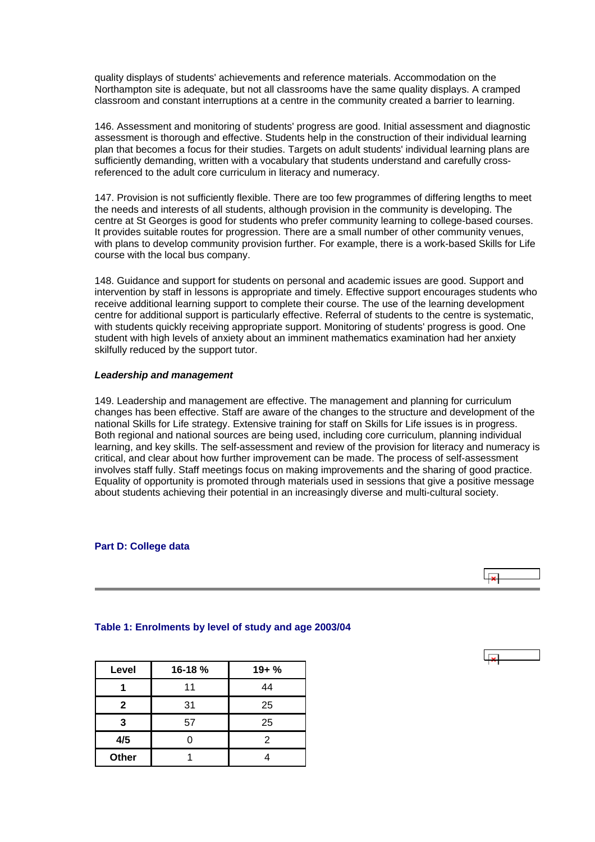<span id="page-41-0"></span>quality displays of students' achievements and reference materials. Accommodation on the Northampton site is adequate, but not all classrooms have the same quality displays. A cramped classroom and constant interruptions at a centre in the community created a barrier to learning.

146. Assessment and monitoring of students' progress are good. Initial assessment and diagnostic assessment is thorough and effective. Students help in the construction of their individual learning plan that becomes a focus for their studies. Targets on adult students' individual learning plans are sufficiently demanding, written with a vocabulary that students understand and carefully crossreferenced to the adult core curriculum in literacy and numeracy.

147. Provision is not sufficiently flexible. There are too few programmes of differing lengths to meet the needs and interests of all students, although provision in the community is developing. The centre at St Georges is good for students who prefer community learning to college-based courses. It provides suitable routes for progression. There are a small number of other community venues, with plans to develop community provision further. For example, there is a work-based Skills for Life course with the local bus company.

148. Guidance and support for students on personal and academic issues are good. Support and intervention by staff in lessons is appropriate and timely. Effective support encourages students who receive additional learning support to complete their course. The use of the learning development centre for additional support is particularly effective. Referral of students to the centre is systematic, with students quickly receiving appropriate support. Monitoring of students' progress is good. One student with high levels of anxiety about an imminent mathematics examination had her anxiety skilfully reduced by the support tutor.

#### *Leadership and management*

149. Leadership and management are effective. The management and planning for curriculum changes has been effective. Staff are aware of the changes to the structure and development of the national Skills for Life strategy. Extensive training for staff on Skills for Life issues is in progress. Both regional and national sources are being used, including core curriculum, planning individual learning, and key skills. The self-assessment and review of the provision for literacy and numeracy is critical, and clear about how further improvement can be made. The process of self-assessment involves staff fully. Staff meetings focus on making improvements and the sharing of good practice. Equality of opportunity is promoted through materials used in sessions that give a positive message about students achieving their potential in an increasingly diverse and multi-cultural society.

#### **Part D: College data**



## **Table 1: Enrolments by level of study and age 2003/04**

| Level        | 16-18% | $19 + %$ |
|--------------|--------|----------|
|              | 11     | 44       |
| $\mathbf{2}$ | 31     | 25       |
| 3            | 57     | 25       |
| 4/5          |        | 2        |
| Other        |        |          |

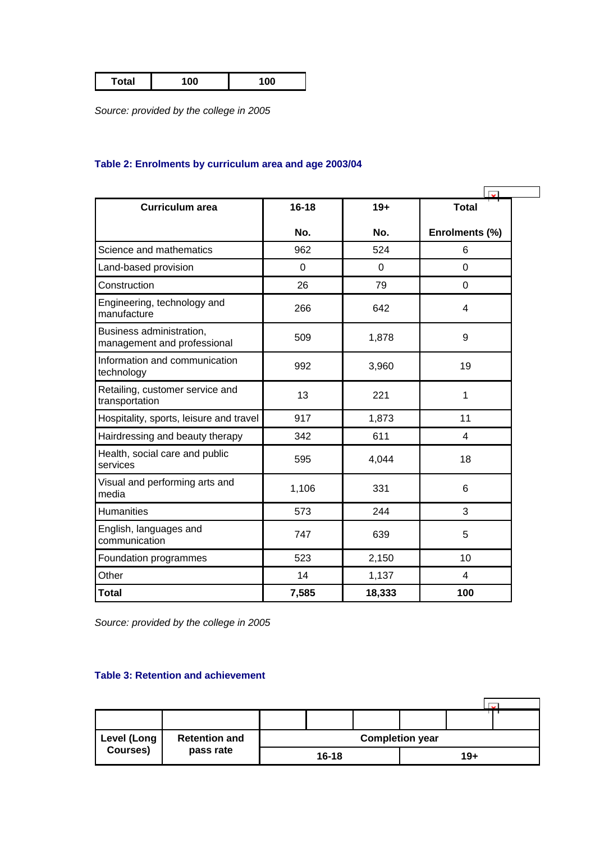<span id="page-42-0"></span>

| 100<br>100 |
|------------|
|------------|

*Source: provided by the college in 2005*

## **Table 2: Enrolments by curriculum area and age 2003/04**

| <b>Curriculum area</b>                                  | $16 - 18$   | $19+$    | <b>Total</b>   |  |
|---------------------------------------------------------|-------------|----------|----------------|--|
|                                                         | No.         | No.      | Enrolments (%) |  |
| Science and mathematics                                 | 962         | 524      | 6              |  |
| Land-based provision                                    | $\mathbf 0$ | $\Omega$ | $\overline{0}$ |  |
| Construction                                            | 26          | 79       | $\mathbf 0$    |  |
| Engineering, technology and<br>manufacture              | 266         | 642      | 4              |  |
| Business administration,<br>management and professional | 509         | 1,878    | 9              |  |
| Information and communication<br>technology             | 992         | 3,960    | 19             |  |
| Retailing, customer service and<br>transportation       | 13          | 221      | 1              |  |
| Hospitality, sports, leisure and travel                 | 917         | 1,873    | 11             |  |
| Hairdressing and beauty therapy                         | 342         | 611      | 4              |  |
| Health, social care and public<br>services              | 595         | 4,044    | 18             |  |
| Visual and performing arts and<br>media                 | 1,106       | 331      | 6              |  |
| Humanities                                              | 573         | 244      | 3              |  |
| English, languages and<br>communication                 | 747         | 639      | 5              |  |
| Foundation programmes                                   | 523         | 2,150    | 10             |  |
| Other                                                   | 14          | 1,137    | 4              |  |
| <b>Total</b>                                            | 7,585       | 18,333   | 100            |  |

*Source: provided by the college in 2005*

## **Table 3: Retention and achievement**

| <b>Level (Long</b><br><b>Retention and</b><br>Courses)<br>pass rate | <b>Completion year</b> |       |  |  |       |  |  |
|---------------------------------------------------------------------|------------------------|-------|--|--|-------|--|--|
|                                                                     |                        | 16-18 |  |  | $19+$ |  |  |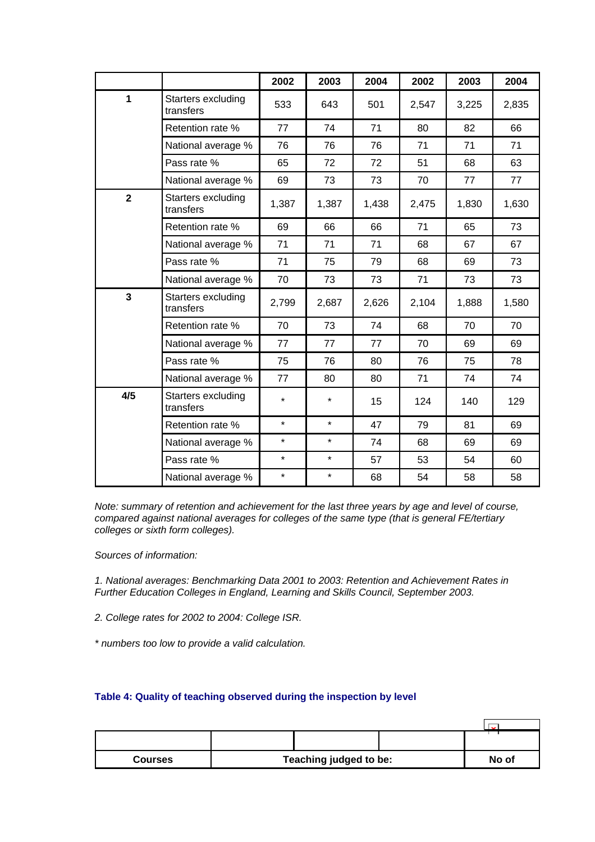<span id="page-43-0"></span>

|                         |                                 | 2002    | 2003    | 2004  | 2002  | 2003  | 2004  |
|-------------------------|---------------------------------|---------|---------|-------|-------|-------|-------|
| $\mathbf{1}$            | Starters excluding<br>transfers | 533     | 643     | 501   | 2,547 | 3,225 | 2,835 |
|                         | Retention rate %                | 77      | 74      | 71    | 80    | 82    | 66    |
|                         | National average %              | 76      | 76      | 76    | 71    | 71    | 71    |
|                         | Pass rate %                     | 65      | 72      | 72    | 51    | 68    | 63    |
|                         | National average %              | 69      | 73      | 73    | 70    | 77    | 77    |
| $\overline{\mathbf{2}}$ | Starters excluding<br>transfers | 1,387   | 1,387   | 1,438 | 2,475 | 1,830 | 1,630 |
|                         | Retention rate %                | 69      | 66      | 66    | 71    | 65    | 73    |
|                         | National average %              | 71      | 71      | 71    | 68    | 67    | 67    |
|                         | Pass rate %                     | 71      | 75      | 79    | 68    | 69    | 73    |
|                         | National average %              | 70      | 73      | 73    | 71    | 73    | 73    |
| $\overline{\mathbf{3}}$ | Starters excluding<br>transfers | 2,799   | 2,687   | 2,626 | 2,104 | 1,888 | 1,580 |
|                         | Retention rate %                | 70      | 73      | 74    | 68    | 70    | 70    |
|                         | National average %              | 77      | 77      | 77    | 70    | 69    | 69    |
|                         | Pass rate %                     | 75      | 76      | 80    | 76    | 75    | 78    |
|                         | National average %              | 77      | 80      | 80    | 71    | 74    | 74    |
| 4/5                     | Starters excluding<br>transfers | $\star$ | $\star$ | 15    | 124   | 140   | 129   |
|                         | Retention rate %                | $\star$ | $\star$ | 47    | 79    | 81    | 69    |
|                         | National average %              | $\star$ | $\star$ | 74    | 68    | 69    | 69    |
|                         | Pass rate %                     | $\star$ | $\star$ | 57    | 53    | 54    | 60    |
|                         | National average %              | $\star$ | $\star$ | 68    | 54    | 58    | 58    |

*Note: summary of retention and achievement for the last three years by age and level of course, compared against national averages for colleges of the same type (that is general FE/tertiary colleges or sixth form colleges).*

*Sources of information:* 

*1. National averages: Benchmarking Data 2001 to 2003: Retention and Achievement Rates in Further Education Colleges in England, Learning and Skills Council, September 2003.*

*2. College rates for 2002 to 2004: College ISR.*

*\* numbers too low to provide a valid calculation.*

## **Table 4: Quality of teaching observed during the inspection by level**

| <b>Courses</b> | Teaching judged to be: |  |  | No of |
|----------------|------------------------|--|--|-------|